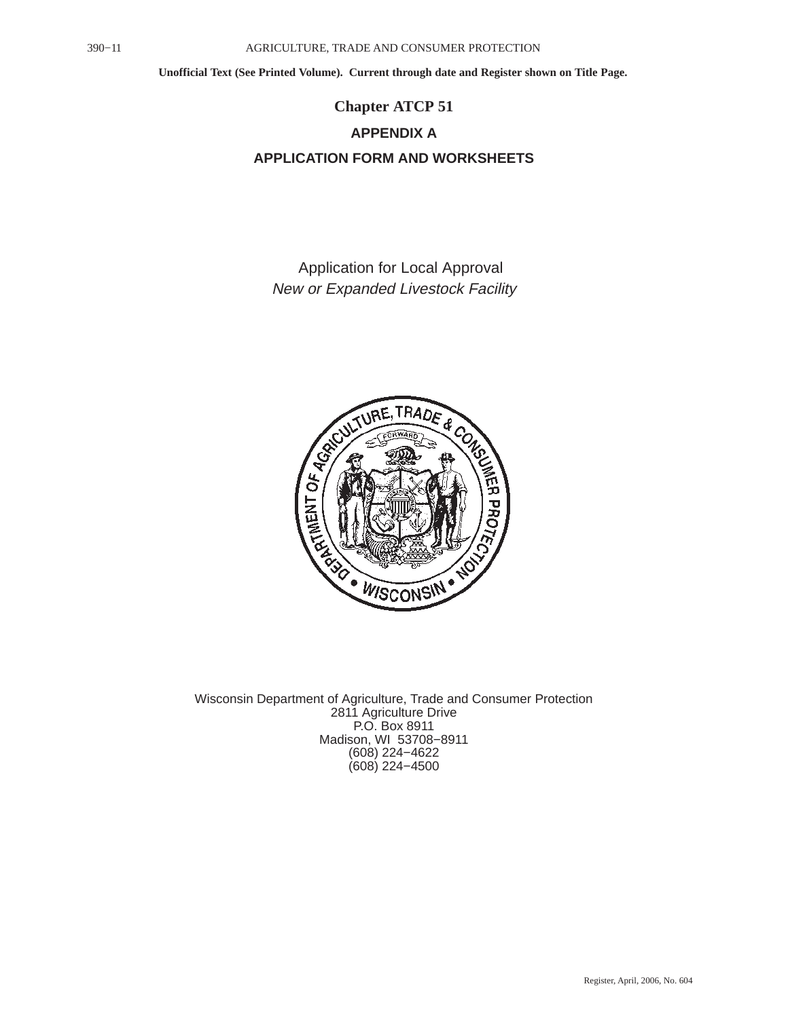### **Chapter ATCP 51 APPENDIX A APPLICATION FORM AND WORKSHEETS**

Application for Local Approval New or Expanded Livestock Facility



Wisconsin Department of Agriculture, Trade and Consumer Protection 2811 Agriculture Drive P.O. Box 8911 Madison, WI 53708−8911 (608) 224−4622 (608) 224−4500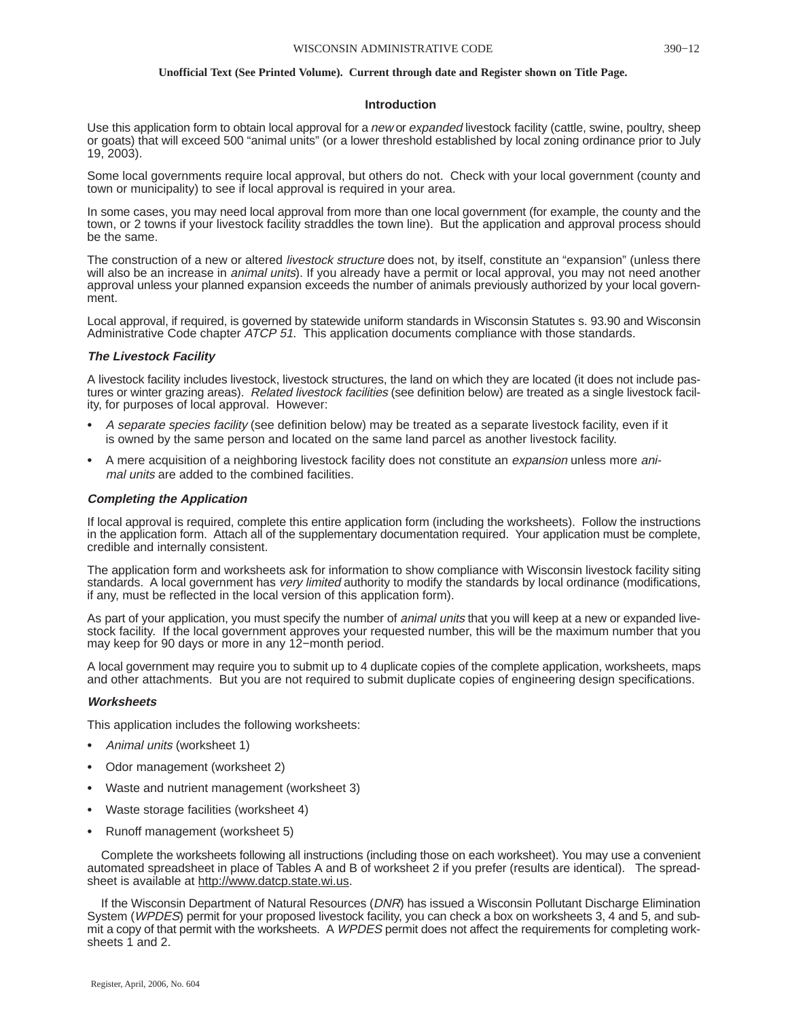### **Introduction**

Use this application form to obtain local approval for a new or expanded livestock facility (cattle, swine, poultry, sheep or goats) that will exceed 500 "animal units" (or a lower threshold established by local zoning ordinance prior to July 19, 2003).

Some local governments require local approval, but others do not. Check with your local government (county and town or municipality) to see if local approval is required in your area.

In some cases, you may need local approval from more than one local government (for example, the county and the town, or 2 towns if your livestock facility straddles the town line). But the application and approval process should be the same.

The construction of a new or altered livestock structure does not, by itself, constitute an "expansion" (unless there will also be an increase in *animal units*). If you already have a permit or local approval, you may not need another approval unless your planned expansion exceeds the number of animals previously authorized by your local government.

Local approval, if required, is governed by statewide uniform standards in Wisconsin Statutes s. 93.90 and Wisconsin Administrative Code chapter ATCP 51. This application documents compliance with those standards.

### **The Livestock Facility**

A livestock facility includes livestock, livestock structures, the land on which they are located (it does not include pastures or winter grazing areas). Related livestock facilities (see definition below) are treated as a single livestock facility, for purposes of local approval. However:

- A separate species facility (see definition below) may be treated as a separate livestock facility, even if it is owned by the same person and located on the same land parcel as another livestock facility.
- A mere acquisition of a neighboring livestock facility does not constitute an *expansion* unless more animal units are added to the combined facilities.

### **Completing the Application**

If local approval is required, complete this entire application form (including the worksheets). Follow the instructions in the application form. Attach all of the supplementary documentation required. Your application must be complete, credible and internally consistent.

The application form and worksheets ask for information to show compliance with Wisconsin livestock facility siting standards. A local government has *very limited* authority to modify the standards by local ordinance (modifications, if any, must be reflected in the local version of this application form).

As part of your application, you must specify the number of *animal units* that you will keep at a new or expanded livestock facility. If the local government approves your requested number, this will be the maximum number that you may keep for 90 days or more in any 12−month period.

A local government may require you to submit up to 4 duplicate copies of the complete application, worksheets, maps and other attachments. But you are not required to submit duplicate copies of engineering design specifications.

### **Worksheets**

This application includes the following worksheets:

- Animal units (worksheet 1)
- Odor management (worksheet 2)
- Waste and nutrient management (worksheet 3)
- Waste storage facilities (worksheet 4)
- Runoff management (worksheet 5)

Complete the worksheets following all instructions (including those on each worksheet). You may use a convenient automated spreadsheet in place of Tables A and B of worksheet 2 if you prefer (results are identical). The spreadsheet is available at http://www.datcp.state.wi.us.

If the Wisconsin Department of Natural Resources (DNR) has issued a Wisconsin Pollutant Discharge Elimination System (WPDES) permit for your proposed livestock facility, you can check a box on worksheets 3, 4 and 5, and submit a copy of that permit with the worksheets. A WPDES permit does not affect the requirements for completing worksheets 1 and 2.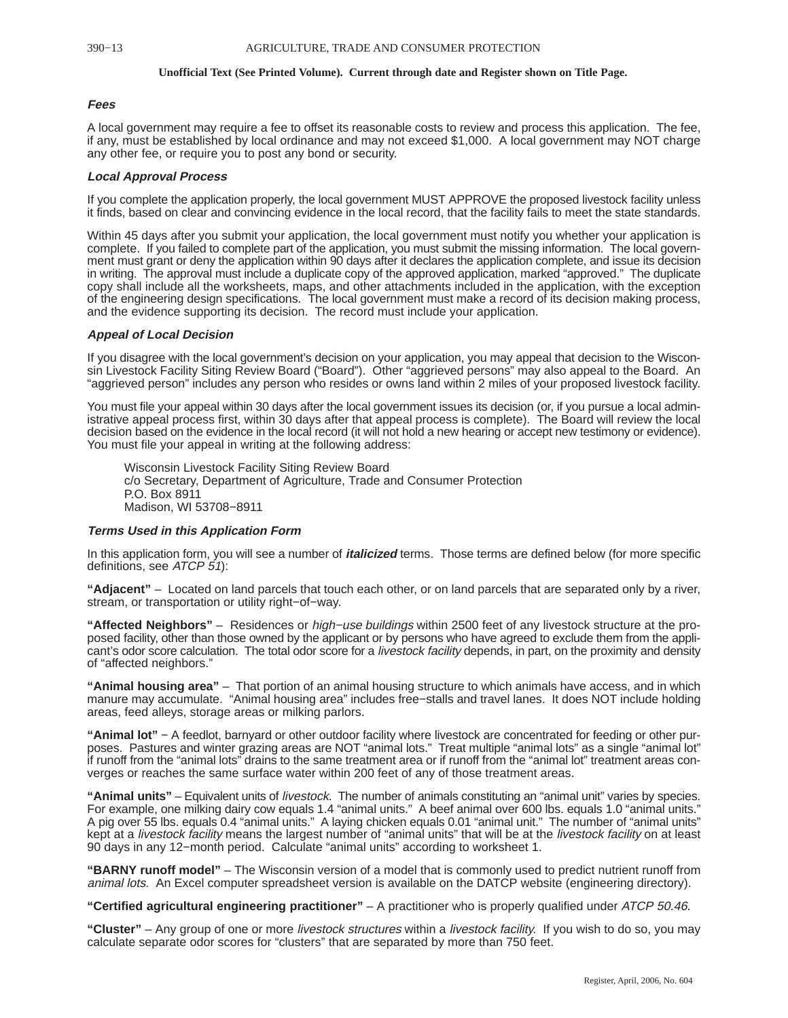### **Fees**

A local government may require a fee to offset its reasonable costs to review and process this application. The fee, if any, must be established by local ordinance and may not exceed \$1,000. A local government may NOT charge any other fee, or require you to post any bond or security.

### **Local Approval Process**

If you complete the application properly, the local government MUST APPROVE the proposed livestock facility unless it finds, based on clear and convincing evidence in the local record, that the facility fails to meet the state standards.

Within 45 days after you submit your application, the local government must notify you whether your application is complete. If you failed to complete part of the application, you must submit the missing information. The local government must grant or deny the application within 90 days after it declares the application complete, and issue its decision in writing. The approval must include a duplicate copy of the approved application, marked "approved." The duplicate copy shall include all the worksheets, maps, and other attachments included in the application, with the exception of the engineering design specifications. The local government must make a record of its decision making process, and the evidence supporting its decision. The record must include your application.

### **Appeal of Local Decision**

If you disagree with the local government's decision on your application, you may appeal that decision to the Wisconsin Livestock Facility Siting Review Board ("Board"). Other "aggrieved persons" may also appeal to the Board. An "aggrieved person" includes any person who resides or owns land within 2 miles of your proposed livestock facility.

You must file your appeal within 30 days after the local government issues its decision (or, if you pursue a local administrative appeal process first, within 30 days after that appeal process is complete). The Board will review the local decision based on the evidence in the local record (it will not hold a new hearing or accept new testimony or evidence). You must file your appeal in writing at the following address:

Wisconsin Livestock Facility Siting Review Board c/o Secretary, Department of Agriculture, Trade and Consumer Protection P.O. Box 8911 Madison, WI 53708−8911

### **Terms Used in this Application Form**

In this application form, you will see a number of **italicized** terms. Those terms are defined below (for more specific definitions, see ATCP 51):

**"Adjacent"** – Located on land parcels that touch each other, or on land parcels that are separated only by a river, stream, or transportation or utility right−of−way.

**"Affected Neighbors"** – Residences or high−use buildings within 2500 feet of any livestock structure at the proposed facility, other than those owned by the applicant or by persons who have agreed to exclude them from the applicant's odor score calculation. The total odor score for a livestock facility depends, in part, on the proximity and density of "affected neighbors."

**"Animal housing area"** – That portion of an animal housing structure to which animals have access, and in which manure may accumulate. "Animal housing area" includes free−stalls and travel lanes. It does NOT include holding areas, feed alleys, storage areas or milking parlors.

**"Animal lot"** − A feedlot, barnyard or other outdoor facility where livestock are concentrated for feeding or other purposes. Pastures and winter grazing areas are NOT "animal lots." Treat multiple "animal lots" as a single "animal lot" if runoff from the "animal lots" drains to the same treatment area or if runoff from the "animal lot" treatment areas converges or reaches the same surface water within 200 feet of any of those treatment areas.

**"Animal units"** – Equivalent units of livestock. The number of animals constituting an "animal unit" varies by species. For example, one milking dairy cow equals 1.4 "animal units." A beef animal over 600 lbs. equals 1.0 "animal units." A pig over 55 lbs. equals 0.4 "animal units." A laying chicken equals 0.01 "animal unit." The number of "animal units" kept at a livestock facility means the largest number of "animal units" that will be at the livestock facility on at least 90 days in any 12−month period. Calculate "animal units" according to worksheet 1.

**"BARNY runoff model"** – The Wisconsin version of a model that is commonly used to predict nutrient runoff from animal lots. An Excel computer spreadsheet version is available on the DATCP website (engineering directory).

**"Certified agricultural engineering practitioner"** – A practitioner who is properly qualified under ATCP 50.46.

**"Cluster"** – Any group of one or more livestock structures within a livestock facility. If you wish to do so, you may calculate separate odor scores for "clusters" that are separated by more than 750 feet.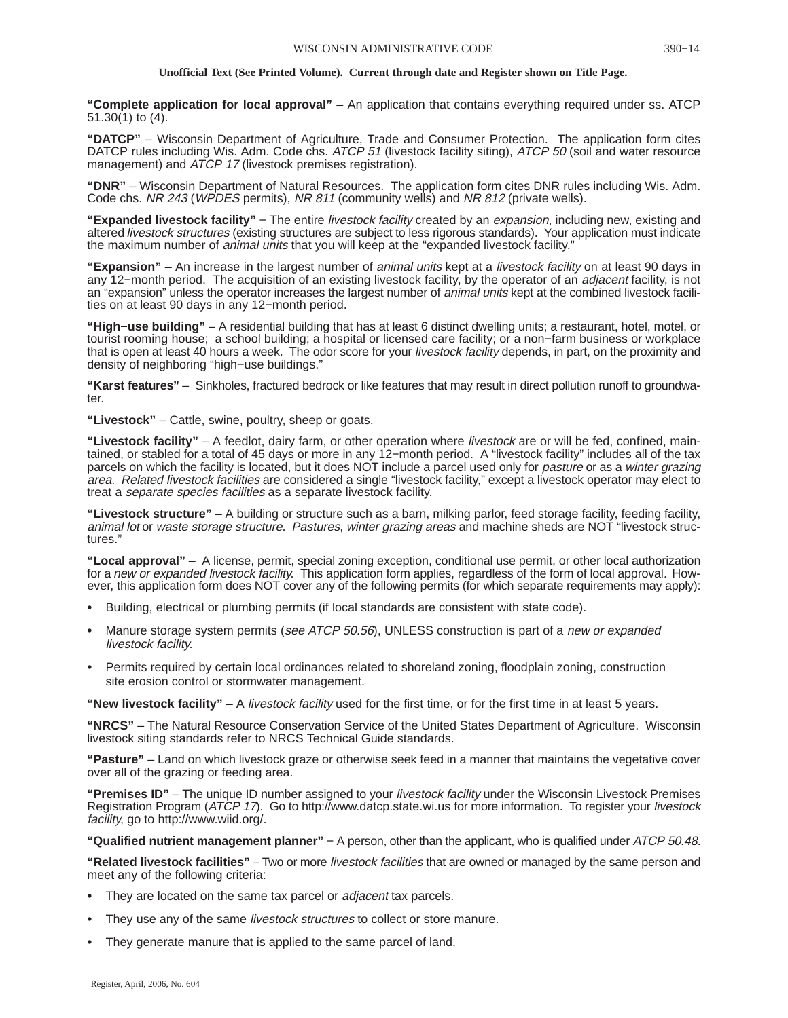**"Complete application for local approval"** – An application that contains everything required under ss. ATCP 51.30(1) to (4).

**"DATCP"** – Wisconsin Department of Agriculture, Trade and Consumer Protection. The application form cites DATCP rules including Wis. Adm. Code chs. ATCP 51 (livestock facility siting), ATCP 50 (soil and water resource management) and ATCP 17 (livestock premises registration).

**"DNR"** – Wisconsin Department of Natural Resources. The application form cites DNR rules including Wis. Adm. Code chs. NR 243 (WPDES permits), NR 811 (community wells) and NR 812 (private wells).

**"Expanded livestock facility"** − The entire livestock facility created by an expansion, including new, existing and altered livestock structures (existing structures are subject to less rigorous standards). Your application must indicate the maximum number of *animal units* that you will keep at the "expanded livestock facility."

**"Expansion"** – An increase in the largest number of animal units kept at a livestock facility on at least 90 days in any 12−month period. The acquisition of an existing livestock facility, by the operator of an adjacent facility, is not an "expansion" unless the operator increases the largest number of *animal units* kept at the combined livestock facilities on at least 90 days in any 12−month period.

**"High−use building"** – A residential building that has at least 6 distinct dwelling units; a restaurant, hotel, motel, or tourist rooming house; a school building; a hospital or licensed care facility; or a non−farm business or workplace that is open at least 40 hours a week. The odor score for your livestock facility depends, in part, on the proximity and density of neighboring "high−use buildings."

**"Karst features"** – Sinkholes, fractured bedrock or like features that may result in direct pollution runoff to groundwater.

**"Livestock"** – Cattle, swine, poultry, sheep or goats.

**"Livestock facility"** – A feedlot, dairy farm, or other operation where livestock are or will be fed, confined, maintained, or stabled for a total of 45 days or more in any 12−month period. A "livestock facility" includes all of the tax parcels on which the facility is located, but it does NOT include a parcel used only for *pasture* or as a winter grazing area. Related livestock facilities are considered a single "livestock facility," except a livestock operator may elect to treat a separate species facilities as a separate livestock facility.

**"Livestock structure"** – A building or structure such as a barn, milking parlor, feed storage facility, feeding facility, animal lot or waste storage structure. Pastures, winter grazing areas and machine sheds are NOT "livestock structures."

**"Local approval"** – A license, permit, special zoning exception, conditional use permit, or other local authorization for a new or expanded livestock facility. This application form applies, regardless of the form of local approval. However, this application form does NOT cover any of the following permits (for which separate requirements may apply):

- Building, electrical or plumbing permits (if local standards are consistent with state code).
- Manure storage system permits (see ATCP 50.56), UNLESS construction is part of a new or expanded livestock facility.
- Permits required by certain local ordinances related to shoreland zoning, floodplain zoning, construction site erosion control or stormwater management.

**"New livestock facility"** – A livestock facility used for the first time, or for the first time in at least 5 years.

**"NRCS"** – The Natural Resource Conservation Service of the United States Department of Agriculture. Wisconsin livestock siting standards refer to NRCS Technical Guide standards.

**"Pasture"** – Land on which livestock graze or otherwise seek feed in a manner that maintains the vegetative cover over all of the grazing or feeding area.

**"Premises ID"** – The unique ID number assigned to your livestock facility under the Wisconsin Livestock Premises Registration Program (ATCP 17). Go to http://www.datcp.state.wi.us for more information. To register your livestock facility, go to http://www.wiid.org/

**"Qualified nutrient management planner"** − A person, other than the applicant, who is qualified under ATCP 50.48.

**"Related livestock facilities"** – Two or more livestock facilities that are owned or managed by the same person and meet any of the following criteria:

- They are located on the same tax parcel or *adjacent* tax parcels.
- They use any of the same *livestock structures* to collect or store manure.
- They generate manure that is applied to the same parcel of land.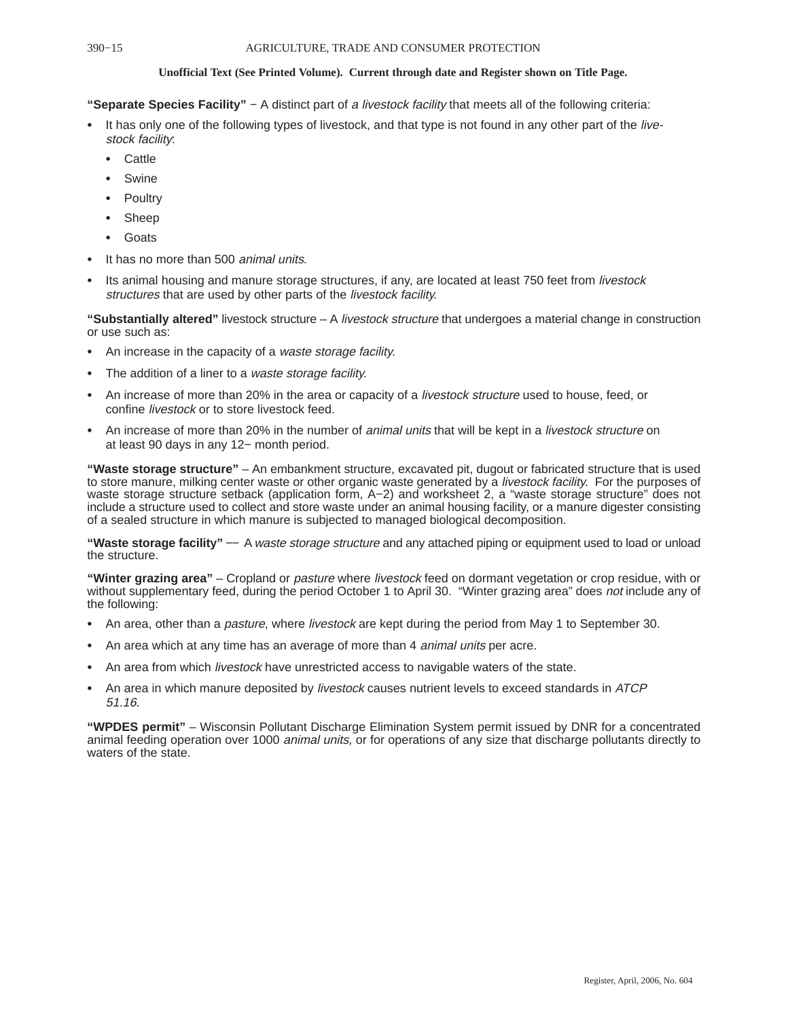**"Separate Species Facility"** − A distinct part of a livestock facility that meets all of the following criteria:

- It has only one of the following types of livestock, and that type is not found in any other part of the livestock facility:
	- **Cattle**
	- Swine
	- Poultry
	- Sheep
	- Goats
- It has no more than 500 *animal units*.
- Its animal housing and manure storage structures, if any, are located at least 750 feet from livestock structures that are used by other parts of the livestock facility.

**"Substantially altered"** livestock structure – A livestock structure that undergoes a material change in construction or use such as:

- An increase in the capacity of a waste storage facility.
- The addition of a liner to a waste storage facility.
- An increase of more than 20% in the area or capacity of a livestock structure used to house, feed, or confine livestock or to store livestock feed.
- An increase of more than 20% in the number of *animal units* that will be kept in a *livestock structure* on at least 90 days in any 12− month period.

**"Waste storage structure"** – An embankment structure, excavated pit, dugout or fabricated structure that is used to store manure, milking center waste or other organic waste generated by a livestock facility. For the purposes of waste storage structure setback (application form, A−2) and worksheet 2, a "waste storage structure" does not include a structure used to collect and store waste under an animal housing facility, or a manure digester consisting of a sealed structure in which manure is subjected to managed biological decomposition.

**"Waste storage facility"** −− A waste storage structure and any attached piping or equipment used to load or unload the structure.

**"Winter grazing area"** – Cropland or pasture where livestock feed on dormant vegetation or crop residue, with or without supplementary feed, during the period October 1 to April 30. "Winter grazing area" does not include any of the following:

- An area, other than a pasture, where livestock are kept during the period from May 1 to September 30.
- An area which at any time has an average of more than 4 animal units per acre.
- An area from which *livestock* have unrestricted access to navigable waters of the state.
- An area in which manure deposited by livestock causes nutrient levels to exceed standards in ATCP 51.16.

**"WPDES permit"** – Wisconsin Pollutant Discharge Elimination System permit issued by DNR for a concentrated animal feeding operation over 1000 animal units, or for operations of any size that discharge pollutants directly to waters of the state.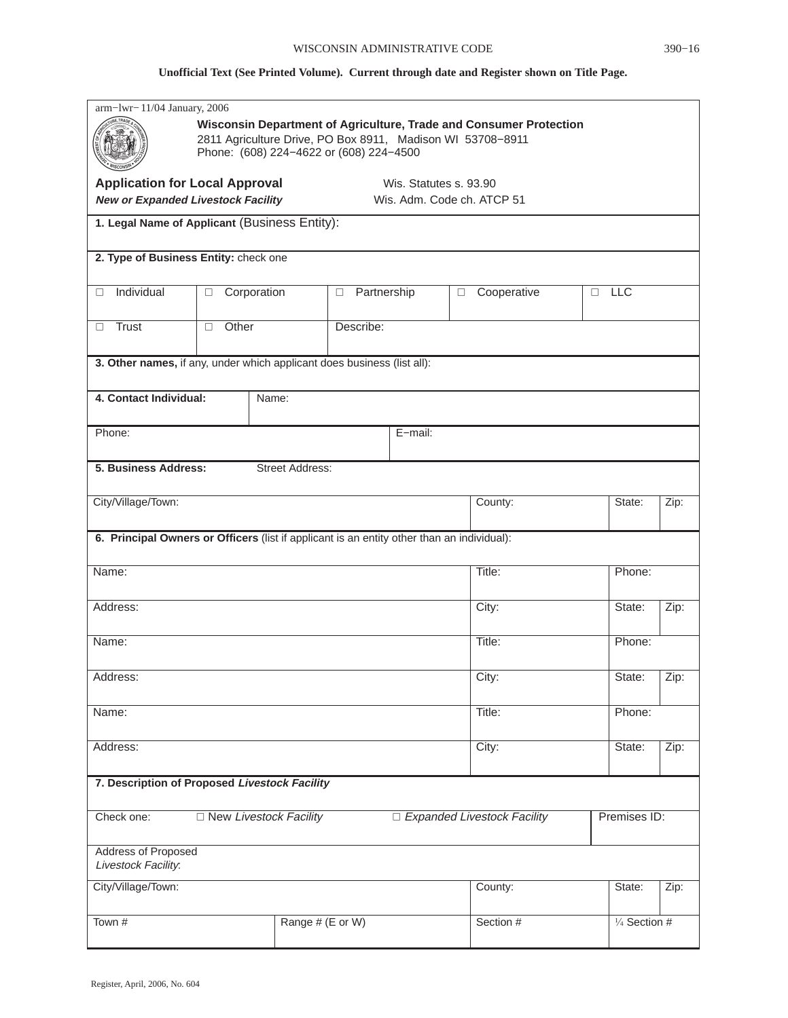|                                                                                            | arm-lwr-11/04 January, 2006<br>Wisconsin Department of Agriculture, Trade and Consumer Protection<br>2811 Agriculture Drive, PO Box 8911, Madison WI 53708-8911<br>Phone: (608) 224-4622 or (608) 224-4500 |                               |                       |                        |                               |        |                         |      |
|--------------------------------------------------------------------------------------------|------------------------------------------------------------------------------------------------------------------------------------------------------------------------------------------------------------|-------------------------------|-----------------------|------------------------|-------------------------------|--------|-------------------------|------|
| <b>Application for Local Approval</b><br><b>New or Expanded Livestock Facility</b>         |                                                                                                                                                                                                            |                               |                       | Wis. Statutes s. 93.90 | Wis. Adm. Code ch. ATCP 51    |        |                         |      |
| 1. Legal Name of Applicant (Business Entity):                                              |                                                                                                                                                                                                            |                               |                       |                        |                               |        |                         |      |
| 2. Type of Business Entity: check one                                                      |                                                                                                                                                                                                            |                               |                       |                        |                               |        |                         |      |
| Individual<br>$\Box$                                                                       | Corporation<br>$\Box$                                                                                                                                                                                      |                               | Partnership<br>$\Box$ |                        | Cooperative<br>$\Box$         | $\Box$ | <b>LLC</b>              |      |
| Trust<br>□                                                                                 | Other<br>$\Box$                                                                                                                                                                                            |                               | Describe:             |                        |                               |        |                         |      |
| 3. Other names, if any, under which applicant does business (list all):                    |                                                                                                                                                                                                            |                               |                       |                        |                               |        |                         |      |
| 4. Contact Individual:                                                                     |                                                                                                                                                                                                            | Name:                         |                       |                        |                               |        |                         |      |
| Phone:                                                                                     |                                                                                                                                                                                                            |                               |                       | E-mail:                |                               |        |                         |      |
| 5. Business Address:<br><b>Street Address:</b>                                             |                                                                                                                                                                                                            |                               |                       |                        |                               |        |                         |      |
| City/Village/Town:                                                                         |                                                                                                                                                                                                            |                               |                       |                        | County:                       |        | State:                  | Zip: |
| 6. Principal Owners or Officers (list if applicant is an entity other than an individual): |                                                                                                                                                                                                            |                               |                       |                        |                               |        |                         |      |
| Name:                                                                                      |                                                                                                                                                                                                            |                               |                       |                        | Title:                        |        | Phone:                  |      |
| Address:                                                                                   |                                                                                                                                                                                                            |                               |                       |                        | City:                         |        | State:                  | Zip: |
| Name:                                                                                      |                                                                                                                                                                                                            |                               |                       |                        | Title:                        |        | Phone:                  |      |
| Address:                                                                                   |                                                                                                                                                                                                            |                               |                       |                        | City:                         |        | State:                  | Zip: |
| Name:                                                                                      |                                                                                                                                                                                                            |                               |                       |                        | Title:                        |        | Phone:                  |      |
| Address:                                                                                   |                                                                                                                                                                                                            |                               |                       |                        | City:                         |        | State:                  | Zip: |
| 7. Description of Proposed Livestock Facility                                              |                                                                                                                                                                                                            |                               |                       |                        |                               |        |                         |      |
| Check one:                                                                                 |                                                                                                                                                                                                            | $\Box$ New Livestock Facility |                       |                        | □ Expanded Livestock Facility |        | Premises ID:            |      |
| <b>Address of Proposed</b><br>Livestock Facility:                                          |                                                                                                                                                                                                            |                               |                       |                        |                               |        |                         |      |
| City/Village/Town:                                                                         |                                                                                                                                                                                                            |                               |                       |                        | County:                       |        | State:                  | Zip: |
| Town #                                                                                     |                                                                                                                                                                                                            | Range # (E or W)              |                       |                        | Section #                     |        | $\frac{1}{4}$ Section # |      |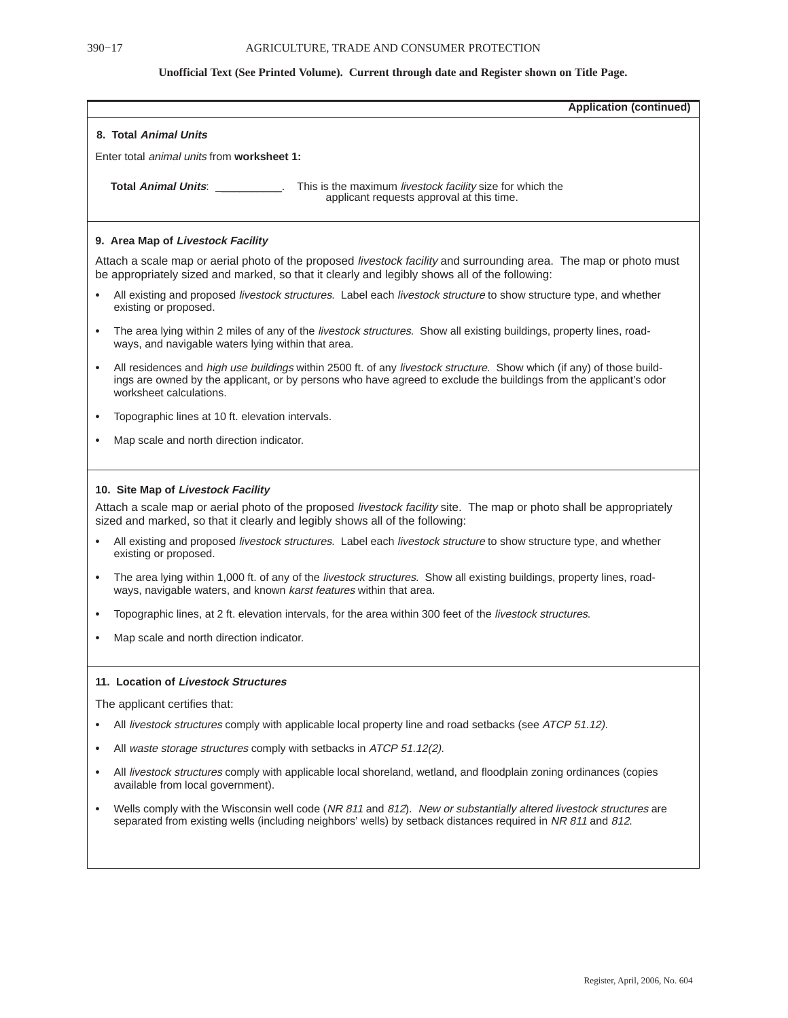| <b>Application (continued)</b>                                                                                                                                                                                                                                                                                                                                                                                                                                                                                                                                                                                                                                                                                                                                                            |
|-------------------------------------------------------------------------------------------------------------------------------------------------------------------------------------------------------------------------------------------------------------------------------------------------------------------------------------------------------------------------------------------------------------------------------------------------------------------------------------------------------------------------------------------------------------------------------------------------------------------------------------------------------------------------------------------------------------------------------------------------------------------------------------------|
| 8. Total Animal Units                                                                                                                                                                                                                                                                                                                                                                                                                                                                                                                                                                                                                                                                                                                                                                     |
| Enter total <i>animal units</i> from <b>worksheet 1:</b>                                                                                                                                                                                                                                                                                                                                                                                                                                                                                                                                                                                                                                                                                                                                  |
| <b>Total Animal Units:</b> Total Animal Units:<br>This is the maximum livestock facility size for which the<br>applicant requests approval at this time.                                                                                                                                                                                                                                                                                                                                                                                                                                                                                                                                                                                                                                  |
| 9. Area Map of Livestock Facility                                                                                                                                                                                                                                                                                                                                                                                                                                                                                                                                                                                                                                                                                                                                                         |
| Attach a scale map or aerial photo of the proposed livestock facility and surrounding area. The map or photo must<br>be appropriately sized and marked, so that it clearly and legibly shows all of the following:                                                                                                                                                                                                                                                                                                                                                                                                                                                                                                                                                                        |
| All existing and proposed livestock structures. Label each livestock structure to show structure type, and whether<br>$\bullet$<br>existing or proposed.                                                                                                                                                                                                                                                                                                                                                                                                                                                                                                                                                                                                                                  |
| The area lying within 2 miles of any of the livestock structures. Show all existing buildings, property lines, road-<br>$\bullet$<br>ways, and navigable waters lying within that area.                                                                                                                                                                                                                                                                                                                                                                                                                                                                                                                                                                                                   |
| All residences and high use buildings within 2500 ft. of any livestock structure. Show which (if any) of those build-<br>$\bullet$<br>ings are owned by the applicant, or by persons who have agreed to exclude the buildings from the applicant's odor<br>worksheet calculations.                                                                                                                                                                                                                                                                                                                                                                                                                                                                                                        |
| Topographic lines at 10 ft. elevation intervals.<br>$\bullet$                                                                                                                                                                                                                                                                                                                                                                                                                                                                                                                                                                                                                                                                                                                             |
| Map scale and north direction indicator.<br>$\bullet$                                                                                                                                                                                                                                                                                                                                                                                                                                                                                                                                                                                                                                                                                                                                     |
| 10. Site Map of Livestock Facility<br>Attach a scale map or aerial photo of the proposed livestock facility site. The map or photo shall be appropriately<br>sized and marked, so that it clearly and legibly shows all of the following:<br>All existing and proposed livestock structures. Label each livestock structure to show structure type, and whether<br>$\bullet$<br>existing or proposed.<br>The area lying within 1,000 ft. of any of the livestock structures. Show all existing buildings, property lines, road-<br>$\bullet$<br>ways, navigable waters, and known karst features within that area.<br>Topographic lines, at 2 ft. elevation intervals, for the area within 300 feet of the livestock structures.<br>$\bullet$<br>Map scale and north direction indicator. |
| 11. Location of Livestock Structures                                                                                                                                                                                                                                                                                                                                                                                                                                                                                                                                                                                                                                                                                                                                                      |
| The applicant certifies that:                                                                                                                                                                                                                                                                                                                                                                                                                                                                                                                                                                                                                                                                                                                                                             |
| All livestock structures comply with applicable local property line and road setbacks (see ATCP 51.12).<br>$\bullet$                                                                                                                                                                                                                                                                                                                                                                                                                                                                                                                                                                                                                                                                      |
| All waste storage structures comply with setbacks in ATCP 51.12(2).<br>$\bullet$                                                                                                                                                                                                                                                                                                                                                                                                                                                                                                                                                                                                                                                                                                          |
| All livestock structures comply with applicable local shoreland, wetland, and floodplain zoning ordinances (copies<br>$\bullet$<br>available from local government).                                                                                                                                                                                                                                                                                                                                                                                                                                                                                                                                                                                                                      |
| Wells comply with the Wisconsin well code (NR 811 and 812). New or substantially altered livestock structures are<br>$\bullet$<br>separated from existing wells (including neighbors' wells) by setback distances required in NR 811 and 812.                                                                                                                                                                                                                                                                                                                                                                                                                                                                                                                                             |
|                                                                                                                                                                                                                                                                                                                                                                                                                                                                                                                                                                                                                                                                                                                                                                                           |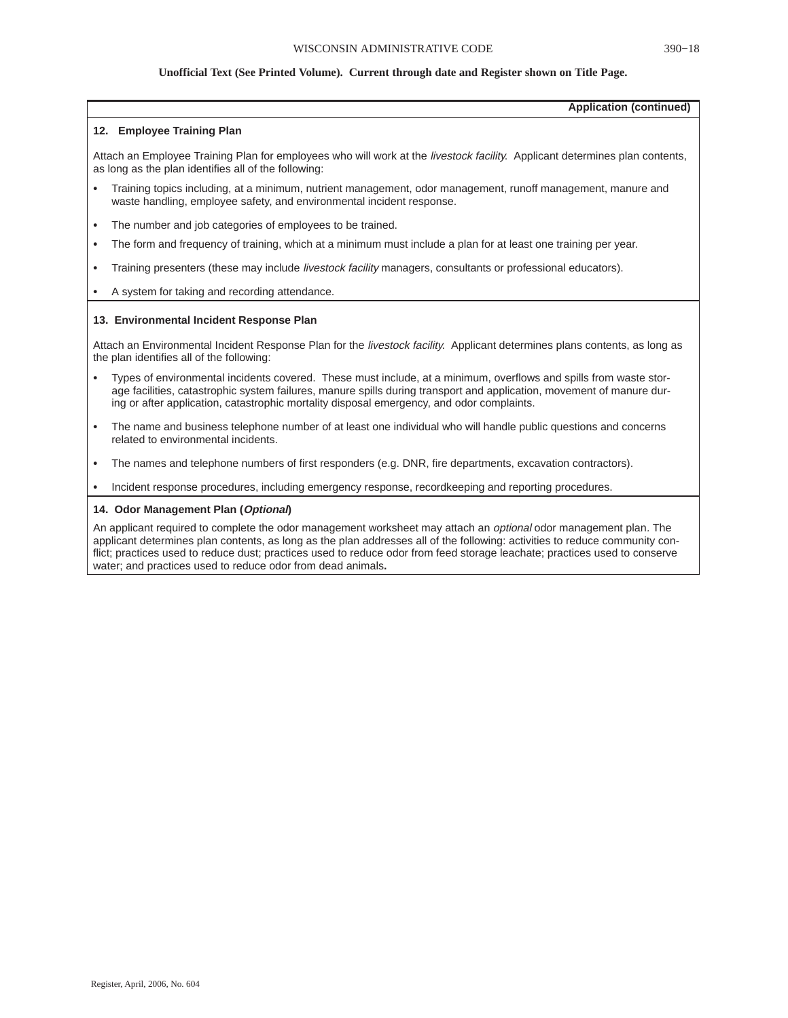**Application (continued)**

### **12. Employee Training Plan**

Attach an Employee Training Plan for employees who will work at the livestock facility. Applicant determines plan contents, as long as the plan identifies all of the following:

- Training topics including, at a minimum, nutrient management, odor management, runoff management, manure and waste handling, employee safety, and environmental incident response.
- The number and job categories of employees to be trained.
- The form and frequency of training, which at a minimum must include a plan for at least one training per year.
- Training presenters (these may include livestock facility managers, consultants or professional educators).
- A system for taking and recording attendance.

### **13. Environmental Incident Response Plan**

Attach an Environmental Incident Response Plan for the livestock facility. Applicant determines plans contents, as long as the plan identifies all of the following:

- Types of environmental incidents covered. These must include, at a minimum, overflows and spills from waste storage facilities, catastrophic system failures, manure spills during transport and application, movement of manure during or after application, catastrophic mortality disposal emergency, and odor complaints.
- The name and business telephone number of at least one individual who will handle public questions and concerns related to environmental incidents.
- The names and telephone numbers of first responders (e.g. DNR, fire departments, excavation contractors).
- Incident response procedures, including emergency response, recordkeeping and reporting procedures.

### **14. Odor Management Plan (Optional)**

An applicant required to complete the odor management worksheet may attach an *optional* odor management plan. The applicant determines plan contents, as long as the plan addresses all of the following: activities to reduce community conflict; practices used to reduce dust; practices used to reduce odor from feed storage leachate; practices used to conserve water; and practices used to reduce odor from dead animals**.**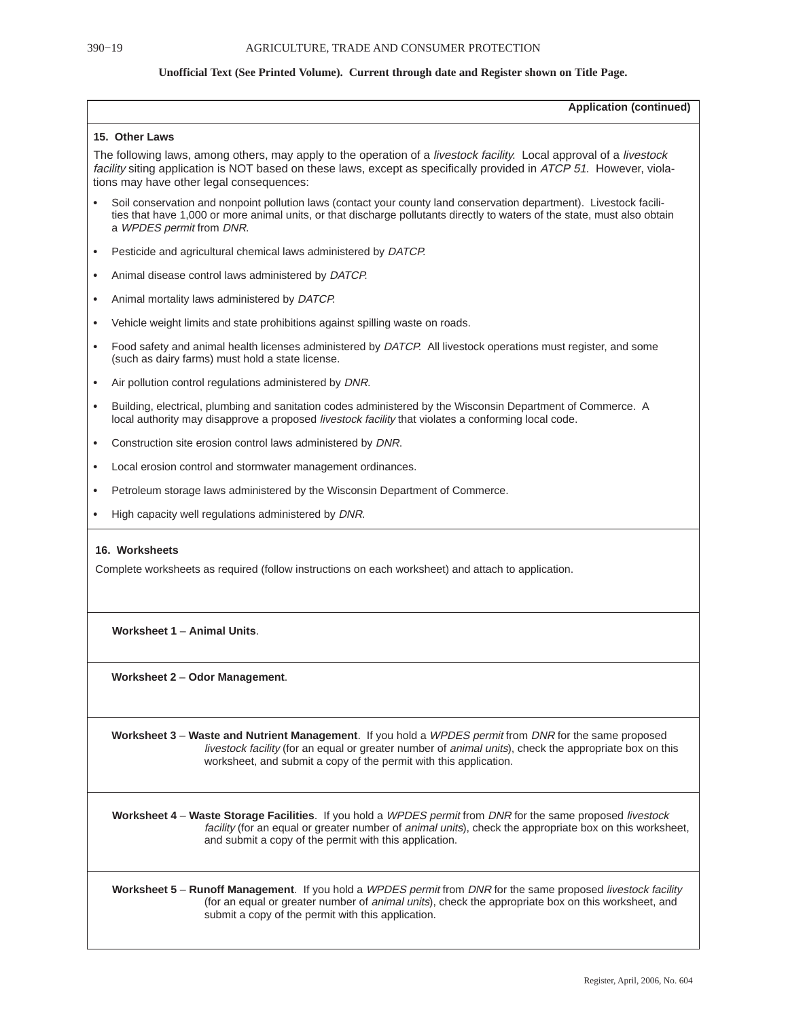|           | <b>Application (continued)</b>                                                                                                                                                                                                                                                                        |
|-----------|-------------------------------------------------------------------------------------------------------------------------------------------------------------------------------------------------------------------------------------------------------------------------------------------------------|
|           | 15. Other Laws                                                                                                                                                                                                                                                                                        |
|           | The following laws, among others, may apply to the operation of a <i>livestock facility</i> . Local approval of a <i>livestock</i><br>facility siting application is NOT based on these laws, except as specifically provided in ATCP 51. However, viola-<br>tions may have other legal consequences: |
|           | Soil conservation and nonpoint pollution laws (contact your county land conservation department). Livestock facili-<br>ties that have 1,000 or more animal units, or that discharge pollutants directly to waters of the state, must also obtain<br>a WPDES permit from DNR.                          |
| $\bullet$ | Pesticide and agricultural chemical laws administered by DATCP.                                                                                                                                                                                                                                       |
| $\bullet$ | Animal disease control laws administered by DATCP.                                                                                                                                                                                                                                                    |
| $\bullet$ | Animal mortality laws administered by DATCP.                                                                                                                                                                                                                                                          |
| $\bullet$ | Vehicle weight limits and state prohibitions against spilling waste on roads.                                                                                                                                                                                                                         |
| $\bullet$ | Food safety and animal health licenses administered by DATCP. All livestock operations must register, and some<br>(such as dairy farms) must hold a state license.                                                                                                                                    |
| $\bullet$ | Air pollution control regulations administered by DNR.                                                                                                                                                                                                                                                |
| $\bullet$ | Building, electrical, plumbing and sanitation codes administered by the Wisconsin Department of Commerce. A<br>local authority may disapprove a proposed livestock facility that violates a conforming local code.                                                                                    |
| $\bullet$ | Construction site erosion control laws administered by DNR.                                                                                                                                                                                                                                           |
| $\bullet$ | Local erosion control and stormwater management ordinances.                                                                                                                                                                                                                                           |
| ٠         | Petroleum storage laws administered by the Wisconsin Department of Commerce.                                                                                                                                                                                                                          |
|           | High capacity well regulations administered by DNR.                                                                                                                                                                                                                                                   |
|           | 16. Worksheets<br>Complete worksheets as required (follow instructions on each worksheet) and attach to application.                                                                                                                                                                                  |
|           | Worksheet 1 - Animal Units.                                                                                                                                                                                                                                                                           |
|           | Worksheet 2 – Odor Management.                                                                                                                                                                                                                                                                        |
|           | Worksheet 3 - Waste and Nutrient Management. If you hold a WPDES permit from DNR for the same proposed<br>livestock facility (for an equal or greater number of animal units), check the appropriate box on this<br>worksheet, and submit a copy of the permit with this application.                 |
|           | Worksheet 4 - Waste Storage Facilities. If you hold a WPDES permit from DNR for the same proposed livestock<br>facility (for an equal or greater number of animal units), check the appropriate box on this worksheet,<br>and submit a copy of the permit with this application.                      |
|           | Worksheet 5 – Runoff Management. If you hold a WPDES permit from DNR for the same proposed livestock facility<br>(for an equal or greater number of animal units), check the appropriate box on this worksheet, and<br>submit a copy of the permit with this application.                             |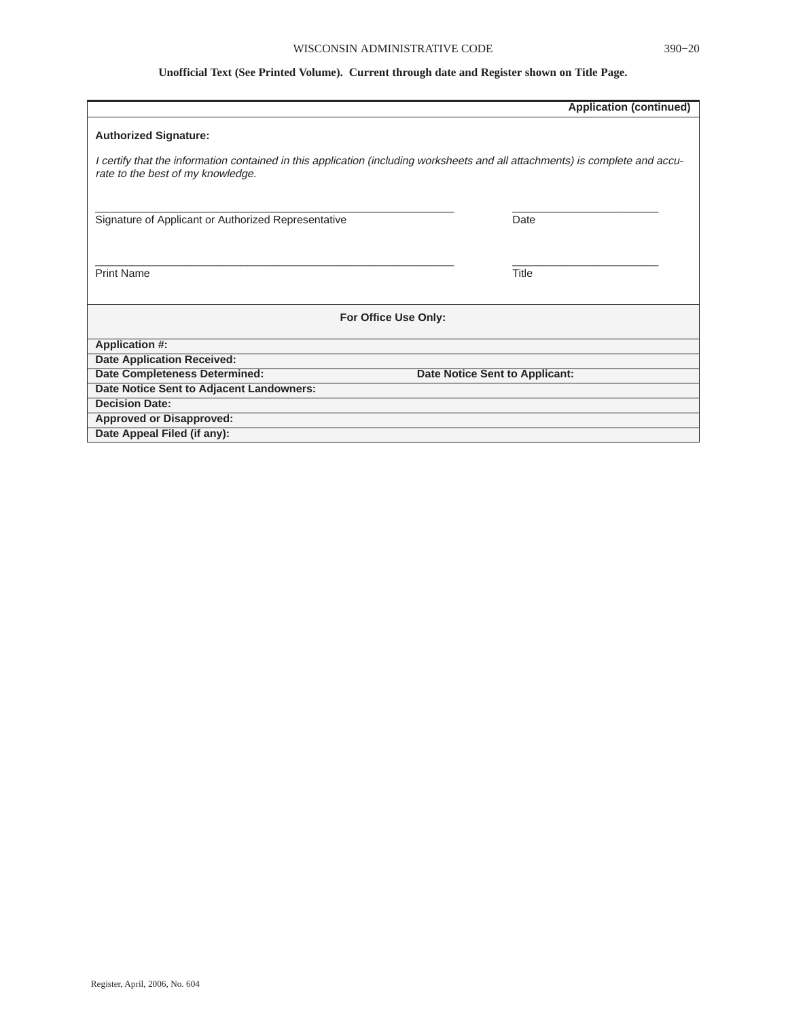|                                                                                                                                                                    | <b>Application (continued)</b> |
|--------------------------------------------------------------------------------------------------------------------------------------------------------------------|--------------------------------|
| <b>Authorized Signature:</b>                                                                                                                                       |                                |
| I certify that the information contained in this application (including worksheets and all attachments) is complete and accu-<br>rate to the best of my knowledge. |                                |
| Signature of Applicant or Authorized Representative                                                                                                                | Date                           |
| <b>Print Name</b>                                                                                                                                                  | <b>Title</b>                   |
| For Office Use Only:                                                                                                                                               |                                |
| <b>Application #:</b>                                                                                                                                              |                                |
| <b>Date Application Received:</b>                                                                                                                                  |                                |
| <b>Date Completeness Determined:</b>                                                                                                                               | Date Notice Sent to Applicant: |
| Date Notice Sent to Adjacent Landowners:                                                                                                                           |                                |
| <b>Decision Date:</b>                                                                                                                                              |                                |
| <b>Approved or Disapproved:</b>                                                                                                                                    |                                |
| Date Appeal Filed (if any):                                                                                                                                        |                                |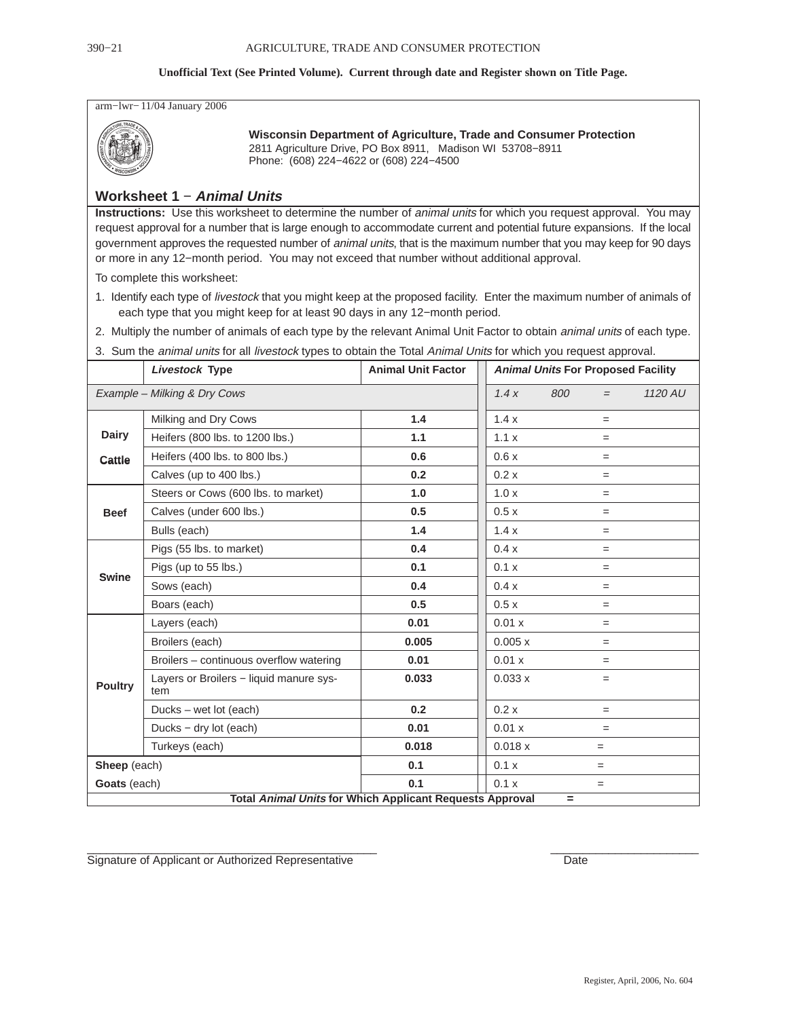arm−lwr− 11/04 January 2006



**Wisconsin Department of Agriculture, Trade and Consumer Protection** 2811 Agriculture Drive, PO Box 8911, Madison WI 53708−8911 Phone: (608) 224−4622 or (608) 224−4500

### **Worksheet 1** − **Animal Units**

**Instructions:** Use this worksheet to determine the number of animal units for which you request approval. You may request approval for a number that is large enough to accommodate current and potential future expansions. If the local government approves the requested number of *animal units*, that is the maximum number that you may keep for 90 days or more in any 12−month period. You may not exceed that number without additional approval.

To complete this worksheet:

- 1. Identify each type of livestock that you might keep at the proposed facility. Enter the maximum number of animals of each type that you might keep for at least 90 days in any 12−month period.
- 2. Multiply the number of animals of each type by the relevant Animal Unit Factor to obtain *animal units* of each type.
- 3. Sum the animal units for all livestock types to obtain the Total Animal Units for which you request approval.

| Livestock Type |                                                                 | <b>Animal Unit Factor</b> |         | <b>Animal Units For Proposed Facility</b> |     |         |
|----------------|-----------------------------------------------------------------|---------------------------|---------|-------------------------------------------|-----|---------|
|                | Example - Milking & Dry Cows                                    |                           | 1.4x    | 800                                       | $=$ | 1120 AU |
|                | Milking and Dry Cows                                            | 1.4                       | 1.4x    |                                           | $=$ |         |
| <b>Dairy</b>   | Heifers (800 lbs. to 1200 lbs.)                                 | 1.1                       | 1.1 x   |                                           | $=$ |         |
| Cattle         | Heifers (400 lbs. to 800 lbs.)                                  | 0.6                       | 0.6x    |                                           | $=$ |         |
|                | Calves (up to 400 lbs.)                                         | 0.2                       | 0.2x    |                                           | $=$ |         |
|                | Steers or Cows (600 lbs. to market)                             | 1.0                       | 1.0x    |                                           | $=$ |         |
| <b>Beef</b>    | Calves (under 600 lbs.)                                         | 0.5                       | 0.5x    |                                           | $=$ |         |
|                | Bulls (each)                                                    | 1.4                       | 1.4x    |                                           | $=$ |         |
|                | Pigs (55 lbs. to market)                                        | 0.4                       | 0.4x    |                                           | $=$ |         |
| <b>Swine</b>   | Pigs (up to 55 lbs.)                                            | 0.1                       | 0.1 x   |                                           | $=$ |         |
|                | Sows (each)                                                     | 0.4                       | 0.4x    |                                           | $=$ |         |
|                | Boars (each)                                                    | 0.5                       | 0.5x    |                                           | $=$ |         |
|                | Layers (each)                                                   | 0.01                      | 0.01 x  |                                           | $=$ |         |
|                | Broilers (each)                                                 | 0.005                     | 0.005 x |                                           | $=$ |         |
|                | Broilers - continuous overflow watering                         | 0.01                      | 0.01 x  |                                           | $=$ |         |
| <b>Poultry</b> | Layers or Broilers - liquid manure sys-<br>tem                  | 0.033                     | 0.033 x |                                           | $=$ |         |
|                | Ducks - wet lot (each)                                          | 0.2                       | 0.2 x   |                                           | $=$ |         |
|                | Ducks - dry lot (each)                                          | 0.01                      | 0.01 x  |                                           | $=$ |         |
|                | Turkeys (each)                                                  | 0.018                     | 0.018x  |                                           | $=$ |         |
| Sheep (each)   |                                                                 | 0.1                       | 0.1 x   |                                           | $=$ |         |
| Goats (each)   |                                                                 | 0.1                       | 0.1 x   |                                           | $=$ |         |
|                | <b>Total Animal Units for Which Applicant Requests Approval</b> |                           |         | $=$                                       |     |         |

 $\_$  , and the set of the set of the set of the set of the set of the set of the set of the set of the set of the set of the set of the set of the set of the set of the set of the set of the set of the set of the set of th Signature of Applicant or Authorized Representative Date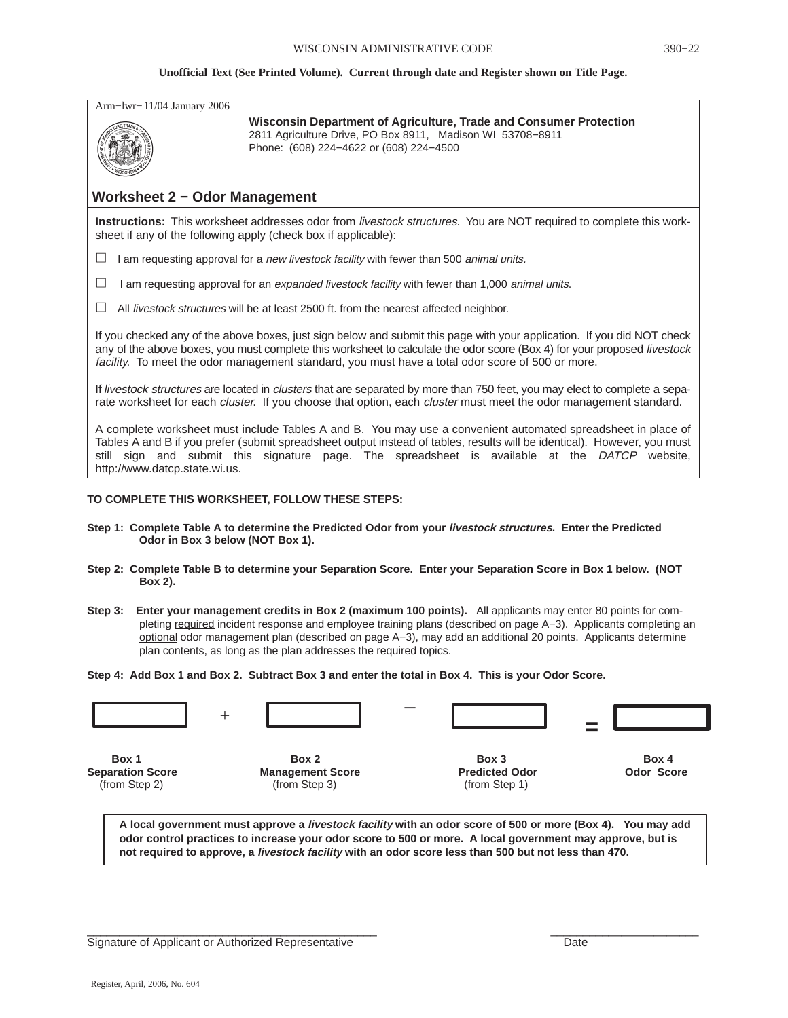| Arm-1wr-11/04 January 2006           | Wisconsin Department of Agriculture, Trade and Consumer Protection<br>2811 Agriculture Drive, PO Box 8911, Madison WI 53708-8911<br>Phone: (608) 224-4622 or (608) 224-4500                                                                                                                                                                             |
|--------------------------------------|---------------------------------------------------------------------------------------------------------------------------------------------------------------------------------------------------------------------------------------------------------------------------------------------------------------------------------------------------------|
| <b>Worksheet 2 - Odor Management</b> |                                                                                                                                                                                                                                                                                                                                                         |
|                                      | Instructions: This worksheet addresses odor from livestock structures. You are NOT required to complete this work-<br>sheet if any of the following apply (check box if applicable):                                                                                                                                                                    |
| $\Box$                               | I am requesting approval for a <i>new livestock facility</i> with fewer than 500 <i>animal units.</i>                                                                                                                                                                                                                                                   |
| $\Box$                               | I am requesting approval for an expanded livestock facility with fewer than 1,000 animal units.                                                                                                                                                                                                                                                         |
| ⊔                                    | All <i>livestock structures</i> will be at least 2500 ft. from the nearest affected neighbor.                                                                                                                                                                                                                                                           |
|                                      | If you checked any of the above boxes, just sign below and submit this page with your application. If you did NOT check<br>any of the above boxes, you must complete this worksheet to calculate the odor score (Box 4) for your proposed livestock<br>facility. To meet the odor management standard, you must have a total odor score of 500 or more. |
|                                      | If livestock structures are located in clusters that are separated by more than 750 feet, you may elect to complete a sepa-<br>rate worksheet for each <i>cluster</i> . If you choose that option, each <i>cluster</i> must meet the odor management standard.                                                                                          |
| http://www.datcp.state.wi.us.        | A complete worksheet must include Tables A and B. You may use a convenient automated spreadsheet in place of<br>Tables A and B if you prefer (submit spreadsheet output instead of tables, results will be identical). However, you must<br>still sign and submit this signature page. The spreadsheet is available at the DATCP website,               |
|                                      | TO COMPLETE THIS WORKSHEET, FOLLOW THESE STEPS:                                                                                                                                                                                                                                                                                                         |
| Odor in Box 3 below (NOT Box 1).     | Step 1: Complete Table A to determine the Predicted Odor from your livestock structures. Enter the Predicted                                                                                                                                                                                                                                            |
| Box 2).                              | Step 2: Complete Table B to determine your Separation Score. Enter your Separation Score in Box 1 below. (NOT                                                                                                                                                                                                                                           |

**Step 3: Enter your management credits in Box 2 (maximum 100 points).** All applicants may enter 80 points for completing required incident response and employee training plans (described on page A−3). Applicants completing an optional odor management plan (described on page A−3), may add an additional 20 points. Applicants determine plan contents, as long as the plan addresses the required topics.

**Step 4: Add Box 1 and Box 2. Subtract Box 3 and enter the total in Box 4. This is your Odor Score.**



**A local government must approve a livestock facility with an odor score of 500 or more (Box 4). You may add odor control practices to increase your odor score to 500 or more. A local government may approve, but is not required to approve, a livestock facility with an odor score less than 500 but not less than 470.**

Signature of Applicant or Authorized Representative **Date** Date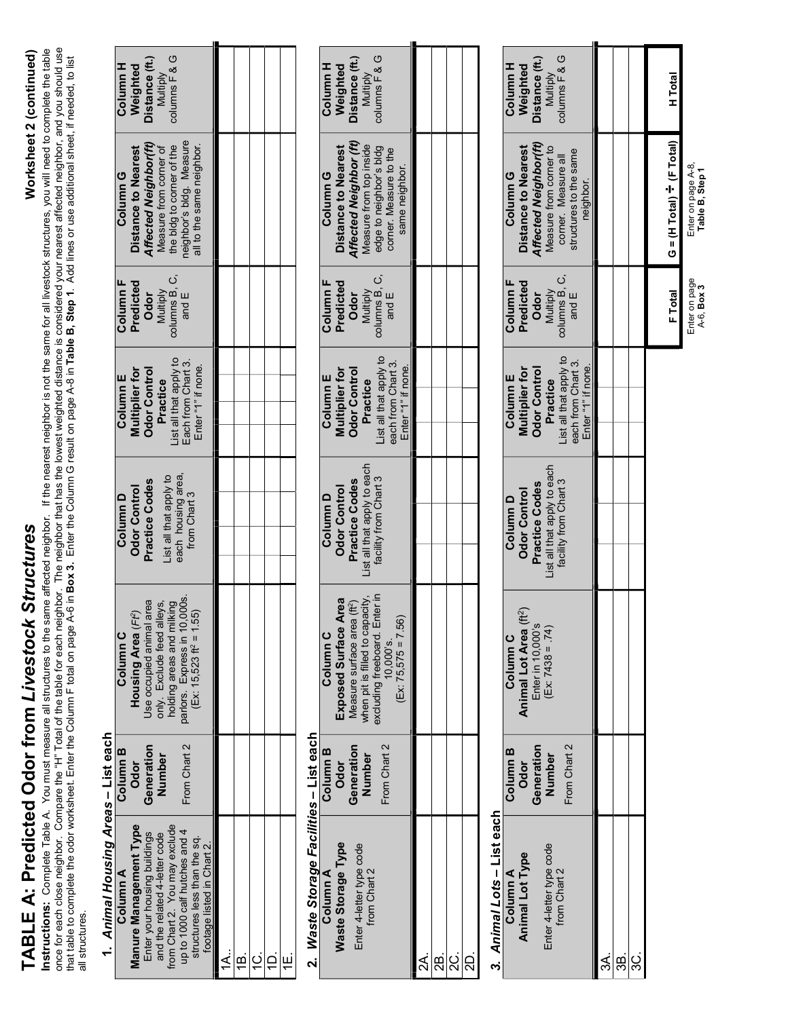# TABLE A: Predicted Odor from *Livestock Structures* Worksheet 2 (continued) TABLE A: Predicted Odor from Livestock Structures

## Worksheet 2 (continued)

I ADLE A. FIBUICIBU UUOI IIOIII LIVESIOCA SIIUCIUIES<br>Instructions: Complet Table A. You must measure all structures to the same affected neighbor. If the nearest neighbor is not the same for all livestock structures, you w once for each close neighbor. Compare the "H" Total of the table for each neighbor. The neighbor that has the lowest weighted distance is considered your nearest affected neighbor, and you should use Instructions: Complete Table A. You must measure all structures to the same affected neighbor. If the nearest neighbor is not the same for all livestock structures, you will need to complete the table that table to complete the odor worksheet. Enter the Column F total on page A-6 in **Box 3.** Enter the Column G result on page A-8 in **Table B, Step 1**. Add lines or use additional sheet, if needed, to list all structures.

### 1. Animal Housing Areas – List each 1. Animal Housing Areas - List each

| columns F & G<br>Jistance (ft.)<br>Column H<br>Weighted<br>Multiply                                                                                                                                                                        |           |  |  |
|--------------------------------------------------------------------------------------------------------------------------------------------------------------------------------------------------------------------------------------------|-----------|--|--|
| heighbor's bldg. Measure<br>Affected Neighbor(ft)<br>the bidg to corner of the<br>Distance to Nearest<br>Measure from corner of<br>all to the same neighbor<br>Column <sub>G</sub>                                                         |           |  |  |
| columns B, C,<br>Column F<br>Predicted<br>Multiply<br>and $E$<br><b>Odor</b>                                                                                                                                                               |           |  |  |
| List all that apply to<br>Each from Chart 3.<br>Enter "1" if none.<br><b>Jdor Control</b><br>Multiplier for<br>Column E<br>Practice                                                                                                        |           |  |  |
| each housing area,<br>List all that apply to<br>Practice Codes<br>Odor Control<br>from Chart 3<br>Column D                                                                                                                                 |           |  |  |
| parlors. Express in 10,000s.<br>Use occupied animal area<br>holding areas and milking<br>only. Exclude feed alleys,<br>iĝ<br>Housing Area (Ft2)<br>$(Ex: 15.523 \text{ ft}^2 = 1.5$<br>Column C                                            |           |  |  |
| From Chart 2<br>Generation<br>Column <sub>B</sub><br>Number<br><b>Odor</b>                                                                                                                                                                 |           |  |  |
| Manure Management Type<br>from Chart 2. You may exclude<br>up to 1000 calf hutches and 4<br>Enter your housing buildings<br>and the related 4-letter code<br>structures less than the sq.<br>footage listed in Chart 2.<br><b>Column A</b> | <u>(B</u> |  |  |

## 2. Waste Storage Facilities - List each 2. Waste Storage Facilities - List each

| Column A                  | Column <sub>B</sub> | Column C                                  | Column D                    | Column E               | Column F      | Column G                                | Column H       |
|---------------------------|---------------------|-------------------------------------------|-----------------------------|------------------------|---------------|-----------------------------------------|----------------|
| <b>Naste Storage Type</b> | <b>Odor</b>         | Exposed Surface Area                      | Odor Control                | <b>Aultiplier for</b>  | Predicted     | <b>Distance to Nearest</b>              | Weighted       |
| Enter 4-letter type code  | Generation          | f <sup>2</sup><br>Measure surface area (f | <b>Practice Codes</b>       | <b>Odor Control</b>    | <b>Odor</b>   | Affected Neighbor (ft)                  | Distance (ft.) |
| from Chart 2              | Number              | when pit is filled to capacity,           | List all that apply to each | Practice               | Multiply      | Measure from top inside                 | Multiply       |
|                           | From Chart 2        | excluding freeboard. Enter in             | facility from Chart 3       | List all that apply to | columns B, C, | edge to neighbor's bldg                 | columns F & G  |
|                           |                     | $(Ex: 75,575 = 7.56)$<br>10,000's.        |                             | each from Chart 3.     | and $E$       | corner. Measure to the<br>same neighbor |                |
|                           |                     |                                           |                             | Enter "1" if none.     |               |                                         |                |
|                           |                     |                                           |                             |                        |               |                                         |                |
| සු<br>ධ                   |                     |                                           |                             |                        |               |                                         |                |
| ပ္လ                       |                     |                                           |                             |                        |               |                                         |                |
|                           |                     |                                           |                             |                        |               |                                         |                |
|                           |                     |                                           |                             |                        |               |                                         |                |

# 3. Animal Lots – List each

| $\vdots$                 |                     |                                    |                             |                        |                  |                           |                       |  |
|--------------------------|---------------------|------------------------------------|-----------------------------|------------------------|------------------|---------------------------|-----------------------|--|
| Column A                 | Column <sub>B</sub> | Column C                           | Column D                    | Column E               | Column F         | Column G                  | Column H              |  |
| <b>Animal Lot Type</b>   | Odor                | Animal Lot Area (ft <sup>2</sup> ) | <b>Odor Control</b>         | <b>Multiplier for</b>  | <b>Predicted</b> | Distance to Nearest       | Weighted              |  |
|                          | Generation          | Enter in 10,000's                  | <b>Practice Codes</b>       | <b>Odor Control</b>    | Odor             | Affected Neighbor(ft)     | <b>Distance (ft.)</b> |  |
| Enter 4-letter type code | Number              | $(Ex. 7438 = .74)$                 | List all that apply to each | Practice               | Multiply         | Measure from corner to    | Multiply              |  |
| from Chart 2             |                     |                                    | facility from Chart 3       | List all that apply to | columns B, C,    | corner. Measure all       | columns F & G         |  |
|                          | From Chart 2        |                                    |                             | each from Chart 3.     | and $E$          | structures to the same    |                       |  |
|                          |                     |                                    |                             | Enter "1" if none.     |                  | neighbor.                 |                       |  |
| ર્જ                      |                     |                                    |                             |                        |                  |                           |                       |  |
| ஐ்                       |                     |                                    |                             |                        |                  |                           |                       |  |
|                          |                     |                                    |                             |                        |                  |                           |                       |  |
|                          |                     |                                    |                             |                        |                  |                           |                       |  |
|                          |                     |                                    |                             |                        | F Total          | G = (H Total) + (F Total) | H Total               |  |

Enter on page A-6, Box 3

Enter on page<br>A-6, Box 3

Enter on page A-8, Table B, Step 1

Enter on page A-8,<br>Table B, Step 1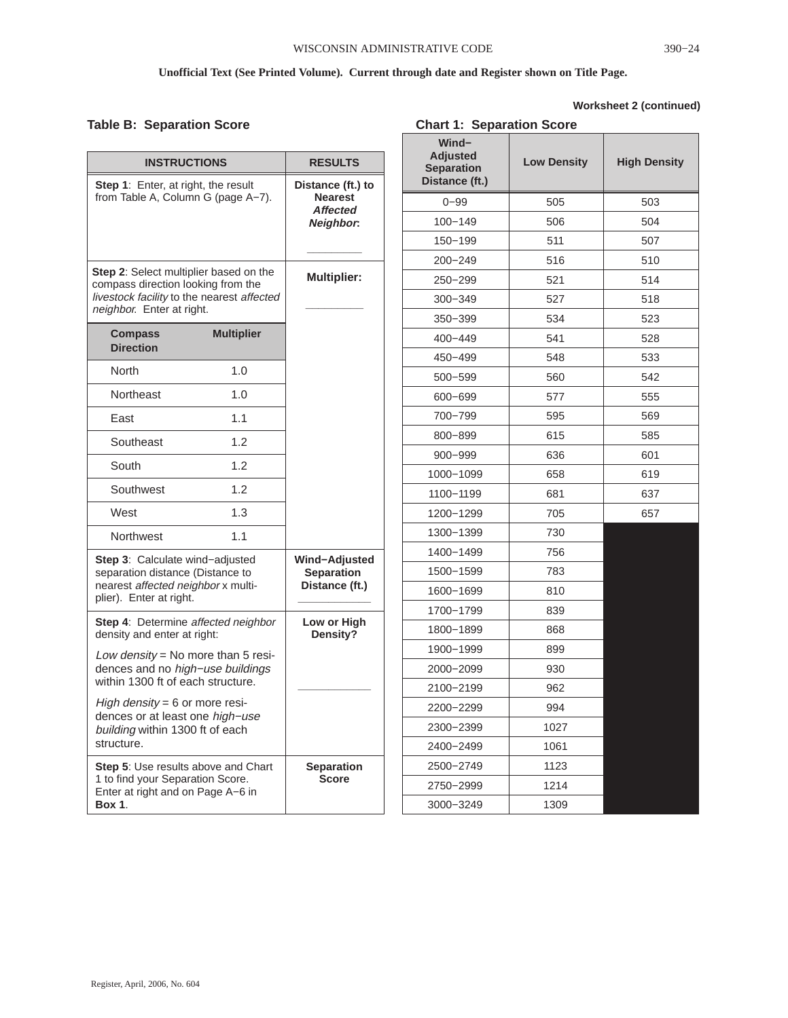### **Table B: Separation Score**

### **Worksheet 2 (continued)**

| <b>Table B: Separation Score</b>                                                                                           |                   |                                   | <b>Chart 1: Separation Score</b>     |                    |                     |
|----------------------------------------------------------------------------------------------------------------------------|-------------------|-----------------------------------|--------------------------------------|--------------------|---------------------|
| <b>INSTRUCTIONS</b>                                                                                                        |                   |                                   | Wind-                                |                    |                     |
|                                                                                                                            |                   | <b>RESULTS</b>                    | <b>Adjusted</b><br><b>Separation</b> | <b>Low Density</b> | <b>High Density</b> |
| Step 1: Enter, at right, the result<br>from Table A, Column G (page A-7).                                                  |                   | Distance (ft.) to                 | Distance (ft.)                       |                    |                     |
|                                                                                                                            |                   | <b>Nearest</b><br><b>Affected</b> | $0 - 99$                             | 505                | 503                 |
|                                                                                                                            |                   | Neighbor:                         | $100 - 149$                          | 506                | 504                 |
| Step 2: Select multiplier based on the<br>compass direction looking from the<br>livestock facility to the nearest affected |                   |                                   | 150-199                              | 511                | 507                 |
|                                                                                                                            |                   |                                   | $200 - 249$                          | 516                | 510                 |
|                                                                                                                            |                   | <b>Multiplier:</b>                | 250-299                              | 521                | 514                 |
|                                                                                                                            |                   |                                   | $300 - 349$                          | 527                | 518                 |
| neighbor. Enter at right.                                                                                                  |                   |                                   | 350-399                              | 534                | 523                 |
| <b>Compass</b><br><b>Direction</b>                                                                                         | <b>Multiplier</b> |                                   | 400-449                              | 541                | 528                 |
|                                                                                                                            |                   |                                   | 450-499                              | 548                | 533                 |
| North                                                                                                                      | 1.0               |                                   | 500-599                              | 560                | 542                 |
| Northeast                                                                                                                  | 1.0               |                                   | 600-699                              | 577                | 555                 |
| East                                                                                                                       | 1.1               |                                   | 700-799                              | 595                | 569                 |
| Southeast                                                                                                                  | 1.2               |                                   | 800-899                              | 615                | 585                 |
|                                                                                                                            |                   |                                   | $900 - 999$                          | 636                | 601                 |
| South                                                                                                                      | 1.2               |                                   | 1000-1099                            | 658                | 619                 |
| 1.2<br>Southwest<br>West<br>1.3                                                                                            |                   |                                   | 1100-1199                            | 681                | 637                 |
|                                                                                                                            |                   |                                   | 1200-1299                            | 705                | 657                 |
| Northwest<br>1.1                                                                                                           |                   |                                   | 1300-1399                            | 730                |                     |
|                                                                                                                            |                   | Wind-Adjusted                     | 1400-1499                            | 756                |                     |
| Step 3: Calculate wind-adjusted<br>separation distance (Distance to                                                        |                   | <b>Separation</b>                 | 1500-1599                            | 783                |                     |
| nearest affected neighbor x multi-<br>plier). Enter at right.                                                              |                   | Distance (ft.)                    | 1600-1699                            | 810                |                     |
|                                                                                                                            |                   | Low or High                       | 1700-1799                            | 839                |                     |
| Step 4: Determine affected neighbor                                                                                        |                   | Density?                          | 1800-1899                            | 868                |                     |
| density and enter at right:<br>Low density = No more than 5 resi-                                                          |                   |                                   | 1900-1999                            | 899                |                     |
| dences and no high-use buildings                                                                                           |                   |                                   | 2000-2099                            | 930                |                     |
| within 1300 ft of each structure.                                                                                          |                   |                                   | 2100-2199                            | 962                |                     |
| High density = $6$ or more resi-<br>dences or at least one high-use                                                        |                   |                                   | 2200-2299                            | 994                |                     |
| building within 1300 ft of each                                                                                            |                   |                                   | 2300-2399                            | 1027               |                     |
| structure.                                                                                                                 |                   |                                   | 2400-2499                            | 1061               |                     |
| Step 5: Use results above and Chart                                                                                        |                   | <b>Separation</b>                 | 2500-2749                            | 1123               |                     |
| 1 to find your Separation Score.<br>Enter at right and on Page A-6 in                                                      |                   | <b>Score</b>                      | 2750-2999                            | 1214               |                     |
| <b>Box 1.</b>                                                                                                              |                   |                                   | 3000-3249                            | 1309               |                     |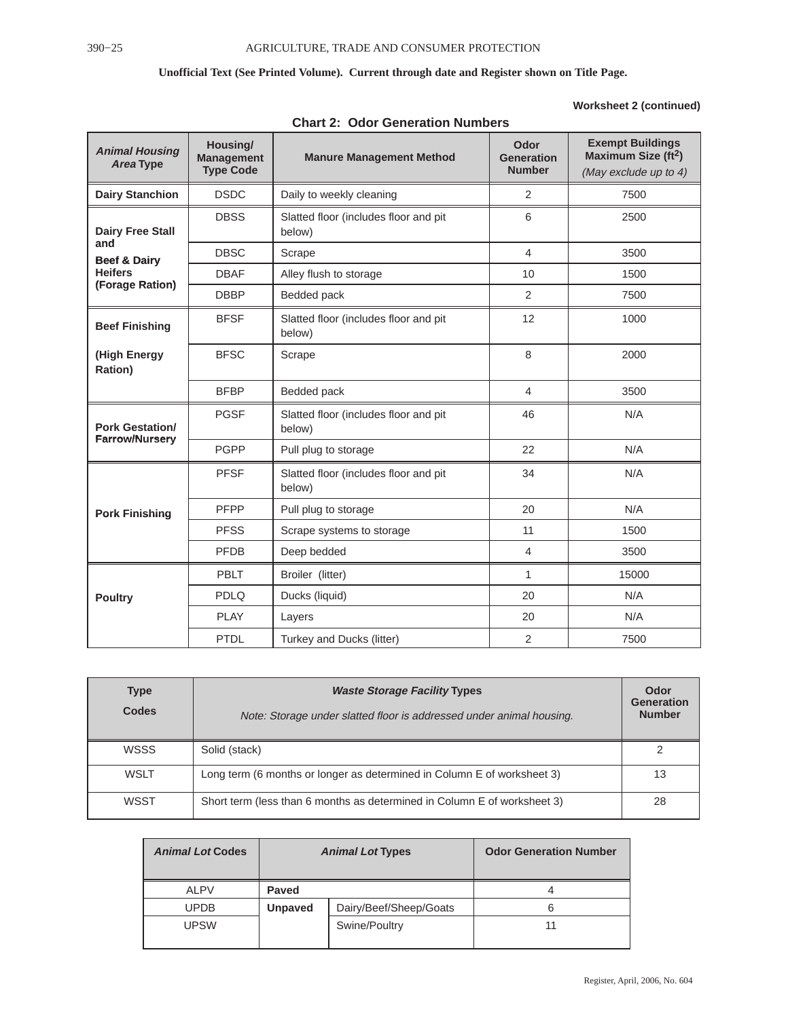### **Worksheet 2 (continued)**

| <b>Animal Housing</b><br>Area Type              | Housing/<br><b>Management</b><br><b>Type Code</b> | <b>Manure Management Method</b>                 | Odor<br><b>Generation</b><br><b>Number</b> | <b>Exempt Buildings</b><br>Maximum Size (ft <sup>2</sup> )<br>(May exclude up to 4) |
|-------------------------------------------------|---------------------------------------------------|-------------------------------------------------|--------------------------------------------|-------------------------------------------------------------------------------------|
| <b>Dairy Stanchion</b>                          | <b>DSDC</b>                                       | Daily to weekly cleaning                        | $\overline{2}$                             | 7500                                                                                |
| <b>Dairy Free Stall</b>                         | <b>DBSS</b>                                       | Slatted floor (includes floor and pit<br>below) | 6                                          | 2500                                                                                |
| and<br><b>Beef &amp; Dairy</b>                  | <b>DBSC</b>                                       | Scrape                                          | $\overline{4}$                             | 3500                                                                                |
| <b>Heifers</b>                                  | <b>DBAF</b>                                       | Alley flush to storage                          | 10                                         | 1500                                                                                |
| (Forage Ration)                                 | <b>DBBP</b>                                       | Bedded pack                                     | 2                                          | 7500                                                                                |
| <b>Beef Finishing</b>                           | <b>BFSF</b>                                       | Slatted floor (includes floor and pit<br>below) | 12                                         | 1000                                                                                |
| (High Energy<br>Ration)                         | <b>BFSC</b>                                       | Scrape                                          | 8                                          | 2000                                                                                |
|                                                 | <b>BFBP</b>                                       | Bedded pack                                     | $\overline{4}$                             | 3500                                                                                |
| <b>Pork Gestation/</b><br><b>Farrow/Nursery</b> | <b>PGSF</b>                                       | Slatted floor (includes floor and pit<br>below) | 46                                         | N/A                                                                                 |
|                                                 | <b>PGPP</b>                                       | Pull plug to storage                            | 22                                         | N/A                                                                                 |
|                                                 | <b>PFSF</b>                                       | Slatted floor (includes floor and pit<br>below) | 34                                         | N/A                                                                                 |
| <b>Pork Finishing</b>                           | PFPP                                              | Pull plug to storage                            | 20                                         | N/A                                                                                 |
|                                                 | <b>PFSS</b>                                       | Scrape systems to storage                       | 11                                         | 1500                                                                                |
|                                                 | <b>PFDB</b>                                       | Deep bedded                                     | $\overline{4}$                             | 3500                                                                                |
|                                                 | PBLT                                              | Broiler (litter)                                | 1                                          | 15000                                                                               |
| <b>Poultry</b>                                  | <b>PDLQ</b>                                       | Ducks (liquid)                                  | 20                                         | N/A                                                                                 |
|                                                 | <b>PLAY</b>                                       | Layers                                          | 20                                         | N/A                                                                                 |
|                                                 | PTDL                                              | Turkey and Ducks (litter)                       | 2                                          | 7500                                                                                |

**Chart 2: Odor Generation Numbers**

| <b>Type</b><br><b>Codes</b> | <b>Waste Storage Facility Types</b><br>Note: Storage under slatted floor is addressed under animal housing. | Odor<br>Generation<br><b>Number</b> |
|-----------------------------|-------------------------------------------------------------------------------------------------------------|-------------------------------------|
| <b>WSSS</b>                 | Solid (stack)                                                                                               |                                     |
| WSLT                        | Long term (6 months or longer as determined in Column E of worksheet 3)                                     | 13                                  |
| WSST                        | Short term (less than 6 months as determined in Column E of worksheet 3)                                    | 28                                  |

| <b>Animal Lot Codes</b> | <b>Animal Lot Types</b> |                        | <b>Odor Generation Number</b> |
|-------------------------|-------------------------|------------------------|-------------------------------|
| ALPV                    | Paved                   |                        |                               |
| <b>UPDB</b>             | <b>Unpaved</b>          | Dairy/Beef/Sheep/Goats |                               |
| <b>UPSW</b>             |                         | Swine/Poultry          | 11                            |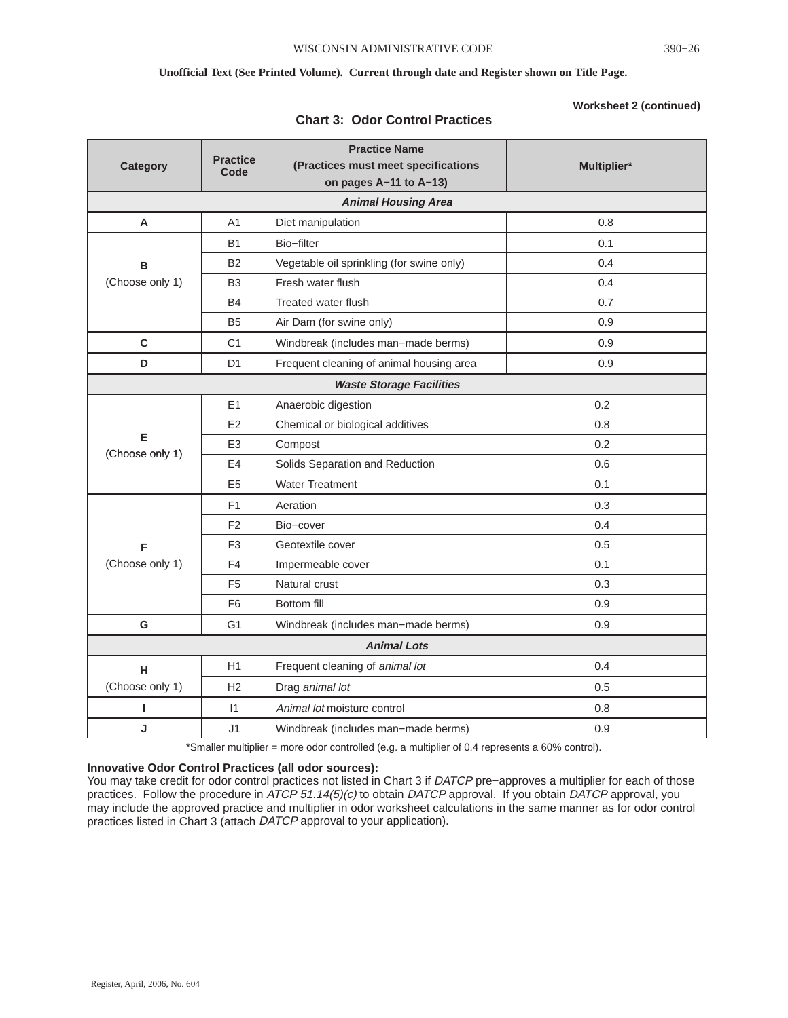| <b>Category</b>      | <b>Practice</b><br>Code | <b>Practice Name</b><br>(Practices must meet specifications<br>on pages A-11 to A-13) | Multiplier* |
|----------------------|-------------------------|---------------------------------------------------------------------------------------|-------------|
|                      |                         | <b>Animal Housing Area</b>                                                            |             |
| A                    | A1                      | Diet manipulation                                                                     | 0.8         |
|                      | <b>B1</b>               | Bio-filter                                                                            | 0.1         |
| в                    | <b>B2</b>               | Vegetable oil sprinkling (for swine only)                                             | 0.4         |
| (Choose only 1)      | B <sub>3</sub>          | Fresh water flush                                                                     | 0.4         |
|                      | <b>B4</b>               | Treated water flush                                                                   | 0.7         |
|                      | B <sub>5</sub>          | Air Dam (for swine only)                                                              | 0.9         |
| $\mathbf c$          | C <sub>1</sub>          | Windbreak (includes man-made berms)                                                   | 0.9         |
| D                    | D <sub>1</sub>          | Frequent cleaning of animal housing area                                              | 0.9         |
|                      |                         | <b>Waste Storage Facilities</b>                                                       |             |
|                      | E <sub>1</sub>          | Anaerobic digestion                                                                   | 0.2         |
|                      | E <sub>2</sub>          | Chemical or biological additives                                                      | 0.8         |
| Е<br>(Choose only 1) | E <sub>3</sub>          | Compost                                                                               | 0.2         |
| E <sub>4</sub>       |                         | Solids Separation and Reduction                                                       | 0.6         |
|                      | E <sub>5</sub>          | <b>Water Treatment</b>                                                                | 0.1         |
| F <sub>1</sub>       |                         | Aeration                                                                              | 0.3         |
| F <sub>2</sub>       |                         | Bio-cover                                                                             | 0.4         |
| F                    | F <sub>3</sub>          | Geotextile cover                                                                      | 0.5         |
| (Choose only 1)      | F4                      | Impermeable cover                                                                     | 0.1         |
|                      | F <sub>5</sub>          | Natural crust                                                                         | 0.3         |
|                      | F <sub>6</sub>          | <b>Bottom fill</b>                                                                    | 0.9         |
| G                    | G <sub>1</sub>          | Windbreak (includes man-made berms)                                                   | 0.9         |
|                      |                         | <b>Animal Lots</b>                                                                    |             |
| н                    | H1                      | Frequent cleaning of animal lot                                                       | 0.4         |
| (Choose only 1)      | H <sub>2</sub>          | Drag animal lot                                                                       | 0.5         |
| I.                   | $\vert$ 1               | Animal lot moisture control                                                           | 0.8         |
| J                    | J1                      | Windbreak (includes man-made berms)                                                   | 0.9         |

### **Chart 3: Odor Control Practices**

\*Smaller multiplier = more odor controlled (e.g. a multiplier of 0.4 represents a 60% control).

### **Innovative Odor Control Practices (all odor sources):**

You may take credit for odor control practices not listed in Chart 3 if DATCP pre−approves a multiplier for each of those practices. Follow the procedure in ATCP 51.14(5)(c) to obtain DATCP approval. If you obtain DATCP approval, you may include the approved practice and multiplier in odor worksheet calculations in the same manner as for odor control practices listed in Chart 3 (attach DATCP approval to your application).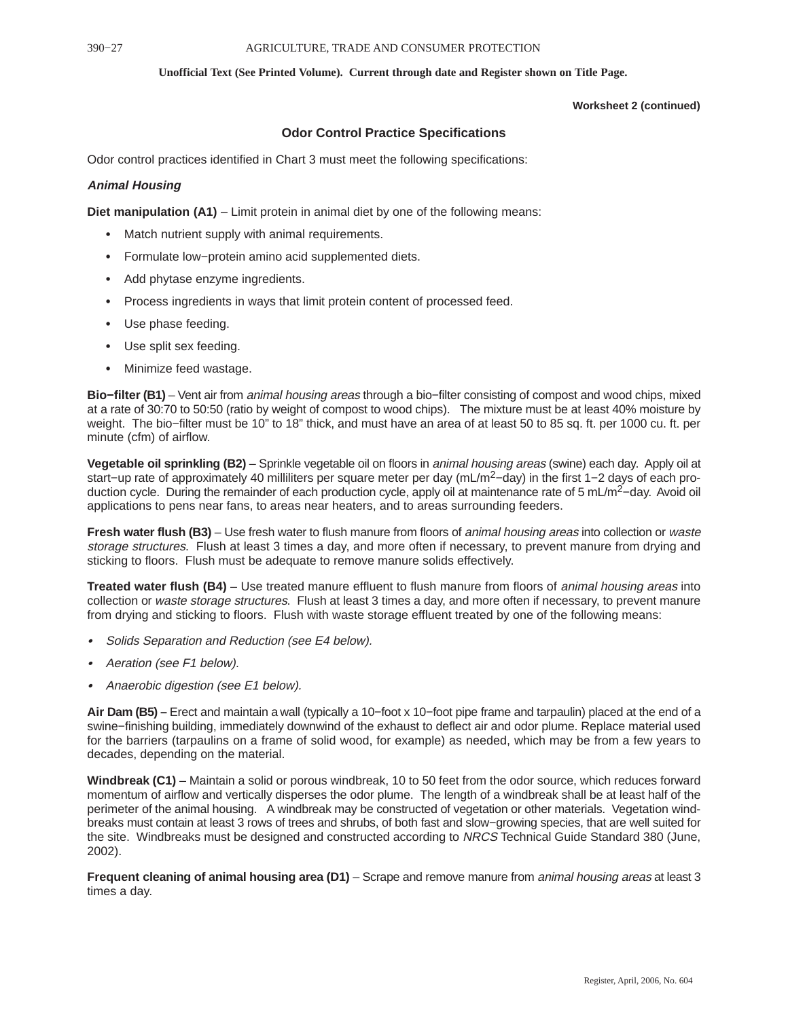### **Worksheet 2 (continued)**

### **Odor Control Practice Specifications**

Odor control practices identified in Chart 3 must meet the following specifications:

### **Animal Housing**

**Diet manipulation (A1)** – Limit protein in animal diet by one of the following means:

- Match nutrient supply with animal requirements.
- Formulate low−protein amino acid supplemented diets.
- Add phytase enzyme ingredients.
- Process ingredients in ways that limit protein content of processed feed.
- Use phase feeding.
- Use split sex feeding.
- Minimize feed wastage.

**Bio–filter (B1)** – Vent air from *animal housing areas* through a bio–filter consisting of compost and wood chips, mixed at a rate of 30:70 to 50:50 (ratio by weight of compost to wood chips). The mixture must be at least 40% moisture by weight. The bio−filter must be 10" to 18" thick, and must have an area of at least 50 to 85 sq. ft. per 1000 cu. ft. per minute (cfm) of airflow.

**Vegetable oil sprinkling (B2)** – Sprinkle vegetable oil on floors in animal housing areas (swine) each day. Apply oil at start−up rate of approximately 40 milliliters per square meter per day (mL/m<sup>2</sup>−day) in the first 1−2 days of each production cycle. During the remainder of each production cycle, apply oil at maintenance rate of 5 mL/m2−day. Avoid oil applications to pens near fans, to areas near heaters, and to areas surrounding feeders.

**Fresh water flush (B3)** – Use fresh water to flush manure from floors of *animal housing areas* into collection or *waste* storage structures. Flush at least 3 times a day, and more often if necessary, to prevent manure from drying and sticking to floors. Flush must be adequate to remove manure solids effectively.

**Treated water flush (B4)** – Use treated manure effluent to flush manure from floors of animal housing areas into collection or waste storage structures. Flush at least 3 times a day, and more often if necessary, to prevent manure from drying and sticking to floors. Flush with waste storage effluent treated by one of the following means:

- Solids Separation and Reduction (see E4 below).
- Aeration (see F1 below).
- Anaerobic digestion (see E1 below).

**Air Dam (B5) –** Erect and maintain a wall (typically a 10−foot x 10−foot pipe frame and tarpaulin) placed at the end of a swine−finishing building, immediately downwind of the exhaust to deflect air and odor plume. Replace material used for the barriers (tarpaulins on a frame of solid wood, for example) as needed, which may be from a few years to decades, depending on the material.

**Windbreak (C1)** – Maintain a solid or porous windbreak, 10 to 50 feet from the odor source, which reduces forward momentum of airflow and vertically disperses the odor plume. The length of a windbreak shall be at least half of the perimeter of the animal housing. A windbreak may be constructed of vegetation or other materials. Vegetation windbreaks must contain at least 3 rows of trees and shrubs, of both fast and slow−growing species, that are well suited for the site. Windbreaks must be designed and constructed according to NRCS Technical Guide Standard 380 (June, 2002).

**Frequent cleaning of animal housing area (D1)** – Scrape and remove manure from animal housing areas at least 3 times a day.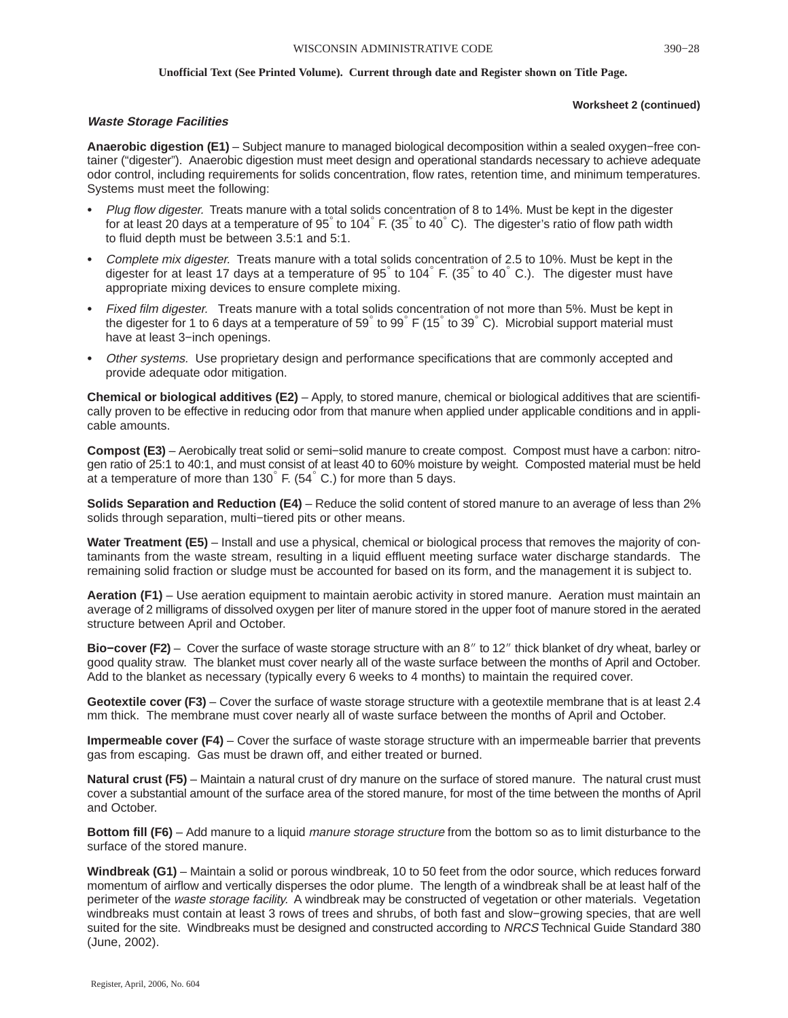### **Worksheet 2 (continued)**

### **Waste Storage Facilities**

**Anaerobic digestion (E1)** – Subject manure to managed biological decomposition within a sealed oxygen−free container ("digester"). Anaerobic digestion must meet design and operational standards necessary to achieve adequate odor control, including requirements for solids concentration, flow rates, retention time, and minimum temperatures. Systems must meet the following:

- Plug flow digester. Treats manure with a total solids concentration of 8 to 14%. Must be kept in the digester for at least 20 days at a temperature of 95 to 104 F. (35 to 40 °C). The digester's ratio of flow path width to fluid depth must be between 3.5:1 and 5:1.
- Complete mix digester. Treats manure with a total solids concentration of 2.5 to 10%. Must be kept in the digester for at least 17 days at a temperature of  $95^\circ$  to  $104^\circ$  F. (35 $^\circ$  to 40 $^\circ$  C.). The digester must have appropriate mixing devices to ensure complete mixing.
- Fixed film digester. Treats manure with a total solids concentration of not more than 5%. Must be kept in the digester for 1 to 6 days at a temperature of 59 to 99  $\overline{F}$  (15 to 39 °C). Microbial support material must have at least 3−inch openings.
- Other systems. Use proprietary design and performance specifications that are commonly accepted and provide adequate odor mitigation.

**Chemical or biological additives (E2)** – Apply, to stored manure, chemical or biological additives that are scientifically proven to be effective in reducing odor from that manure when applied under applicable conditions and in applicable amounts.

**Compost (E3)** – Aerobically treat solid or semi−solid manure to create compost. Compost must have a carbon: nitrogen ratio of 25:1 to 40:1, and must consist of at least 40 to 60% moisture by weight. Composted material must be held at a temperature of more than  $130^\circ$  F. (54 $^\circ$  C.) for more than 5 days.

**Solids Separation and Reduction (E4)** – Reduce the solid content of stored manure to an average of less than 2% solids through separation, multi–tiered pits or other means.

**Water Treatment (E5)** – Install and use a physical, chemical or biological process that removes the majority of contaminants from the waste stream, resulting in a liquid effluent meeting surface water discharge standards. The remaining solid fraction or sludge must be accounted for based on its form, and the management it is subject to.

**Aeration (F1)** – Use aeration equipment to maintain aerobic activity in stored manure. Aeration must maintain an average of 2 milligrams of dissolved oxygen per liter of manure stored in the upper foot of manure stored in the aerated structure between April and October.

**Bio–cover (F2)** – Cover the surface of waste storage structure with an 8" to 12" thick blanket of dry wheat, barley or good quality straw. The blanket must cover nearly all of the waste surface between the months of April and October. Add to the blanket as necessary (typically every 6 weeks to 4 months) to maintain the required cover.

**Geotextile cover (F3)** – Cover the surface of waste storage structure with a geotextile membrane that is at least 2.4 mm thick. The membrane must cover nearly all of waste surface between the months of April and October.

**Impermeable cover (F4)** – Cover the surface of waste storage structure with an impermeable barrier that prevents gas from escaping. Gas must be drawn off, and either treated or burned.

**Natural crust (F5)** – Maintain a natural crust of dry manure on the surface of stored manure. The natural crust must cover a substantial amount of the surface area of the stored manure, for most of the time between the months of April and October.

**Bottom fill (F6)** – Add manure to a liquid manure storage structure from the bottom so as to limit disturbance to the surface of the stored manure.

**Windbreak (G1)** – Maintain a solid or porous windbreak, 10 to 50 feet from the odor source, which reduces forward momentum of airflow and vertically disperses the odor plume. The length of a windbreak shall be at least half of the perimeter of the *waste storage facility*. A windbreak may be constructed of vegetation or other materials. Vegetation windbreaks must contain at least 3 rows of trees and shrubs, of both fast and slow−growing species, that are well suited for the site. Windbreaks must be designed and constructed according to NRCS Technical Guide Standard 380 (June, 2002).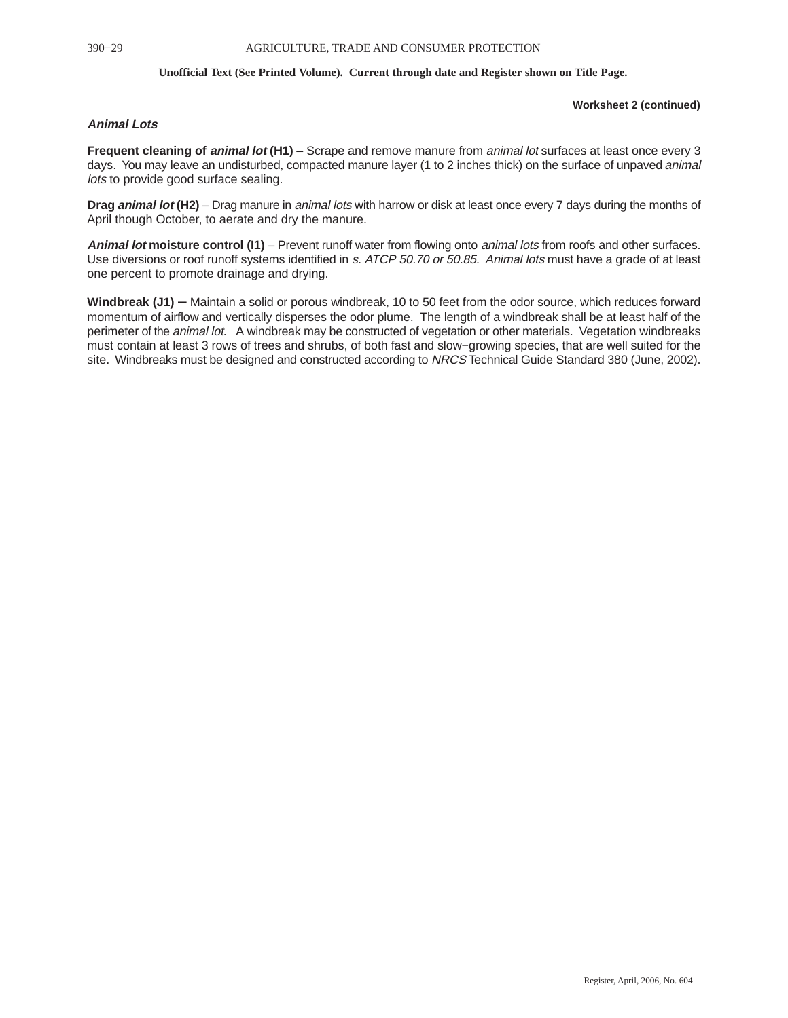### **Worksheet 2 (continued)**

### **Animal Lots**

**Frequent cleaning of animal lot (H1)** – Scrape and remove manure from animal lot surfaces at least once every 3 days. You may leave an undisturbed, compacted manure layer (1 to 2 inches thick) on the surface of unpaved *animal* lots to provide good surface sealing.

**Drag animal lot (H2)** – Drag manure in animal lots with harrow or disk at least once every 7 days during the months of April though October, to aerate and dry the manure.

**Animal lot moisture control (I1)** – Prevent runoff water from flowing onto animal lots from roofs and other surfaces. Use diversions or roof runoff systems identified in s. ATCP 50.70 or 50.85. Animal lots must have a grade of at least one percent to promote drainage and drying.

**Windbreak (J1)** – Maintain a solid or porous windbreak, 10 to 50 feet from the odor source, which reduces forward momentum of airflow and vertically disperses the odor plume. The length of a windbreak shall be at least half of the perimeter of the *animal lot*. A windbreak may be constructed of vegetation or other materials. Vegetation windbreaks must contain at least 3 rows of trees and shrubs, of both fast and slow−growing species, that are well suited for the site. Windbreaks must be designed and constructed according to NRCS Technical Guide Standard 380 (June, 2002).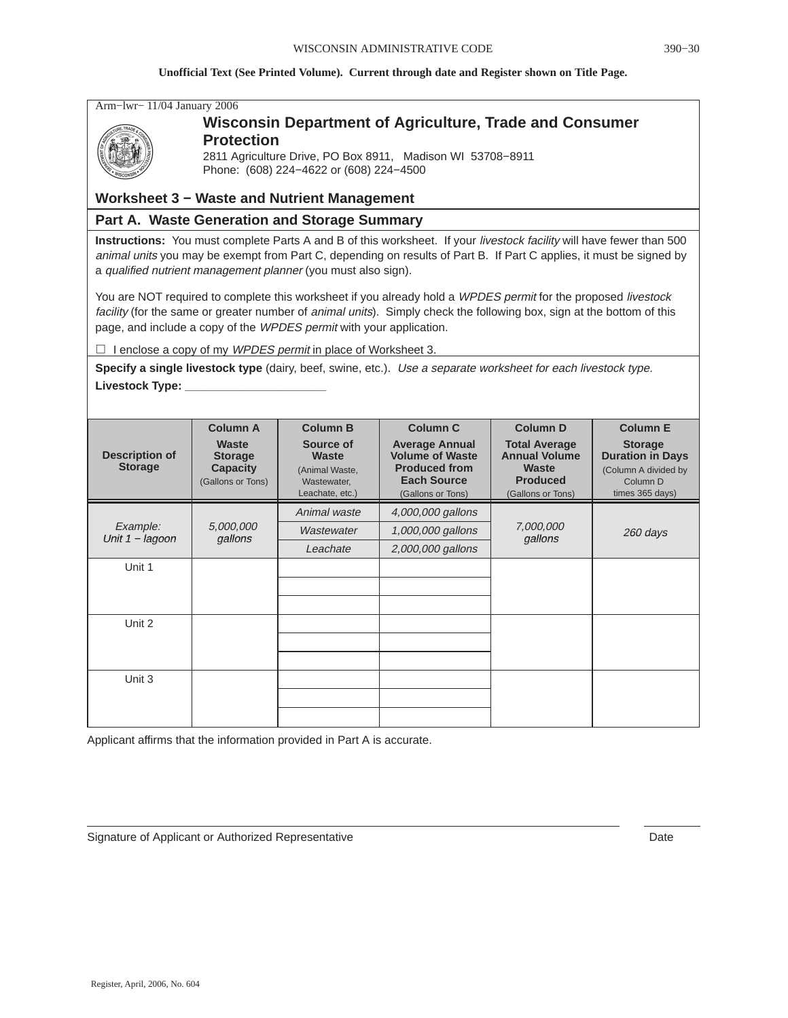Arm−lwr− 11/04 January 2006



### **Wisconsin Department of Agriculture, Trade and Consumer Protection**

2811 Agriculture Drive, PO Box 8911, Madison WI 53708−8911 Phone: (608) 224−4622 or (608) 224−4500

### **Worksheet 3 − Waste and Nutrient Management**

### **Part A. Waste Generation and Storage Summary**

**Instructions:** You must complete Parts A and B of this worksheet. If your livestock facility will have fewer than 500 animal units you may be exempt from Part C, depending on results of Part B. If Part C applies, it must be signed by a qualified nutrient management planner (you must also sign).

You are NOT required to complete this worksheet if you already hold a WPDES permit for the proposed livestock facility (for the same or greater number of animal units). Simply check the following box, sign at the bottom of this page, and include a copy of the WPDES permit with your application.

 $\Box$  I enclose a copy of my WPDES permit in place of Worksheet 3.

**Specify a single livestock type** (dairy, beef, swine, etc.). Use a separate worksheet for each livestock type. **Livestock Type: \_\_\_\_\_\_\_\_\_\_\_\_\_\_\_\_\_\_\_\_\_\_**

|                                                       | <b>Column A</b>                                                 | <b>Column B</b>                                                               | <b>Column C</b>                                                                                                    | <b>Column D</b>                                                                               | <b>Column E</b>                                                                                             |
|-------------------------------------------------------|-----------------------------------------------------------------|-------------------------------------------------------------------------------|--------------------------------------------------------------------------------------------------------------------|-----------------------------------------------------------------------------------------------|-------------------------------------------------------------------------------------------------------------|
| <b>Description of</b><br><b>Storage</b>               | Waste<br><b>Storage</b><br><b>Capacity</b><br>(Gallons or Tons) | Source of<br><b>Waste</b><br>(Animal Waste,<br>Wastewater,<br>Leachate, etc.) | <b>Average Annual</b><br><b>Volume of Waste</b><br><b>Produced from</b><br><b>Each Source</b><br>(Gallons or Tons) | <b>Total Average</b><br><b>Annual Volume</b><br>Waste<br><b>Produced</b><br>(Gallons or Tons) | <b>Storage</b><br><b>Duration in Days</b><br>(Column A divided by<br>Column <sub>D</sub><br>times 365 days) |
|                                                       |                                                                 | Animal waste                                                                  | 4,000,000 gallons                                                                                                  |                                                                                               |                                                                                                             |
| Example:<br>5,000,000<br>Unit $1 - lagoon$<br>gallons |                                                                 | Wastewater                                                                    | 1,000,000 gallons                                                                                                  | 7,000,000<br>gallons                                                                          | 260 days                                                                                                    |
|                                                       |                                                                 | Leachate                                                                      | 2,000,000 gallons                                                                                                  |                                                                                               |                                                                                                             |
| Unit 1                                                |                                                                 |                                                                               |                                                                                                                    |                                                                                               |                                                                                                             |
|                                                       |                                                                 |                                                                               |                                                                                                                    |                                                                                               |                                                                                                             |
|                                                       |                                                                 |                                                                               |                                                                                                                    |                                                                                               |                                                                                                             |
| Unit 2                                                |                                                                 |                                                                               |                                                                                                                    |                                                                                               |                                                                                                             |
|                                                       |                                                                 |                                                                               |                                                                                                                    |                                                                                               |                                                                                                             |
|                                                       |                                                                 |                                                                               |                                                                                                                    |                                                                                               |                                                                                                             |
| Unit 3                                                |                                                                 |                                                                               |                                                                                                                    |                                                                                               |                                                                                                             |
|                                                       |                                                                 |                                                                               |                                                                                                                    |                                                                                               |                                                                                                             |
|                                                       |                                                                 |                                                                               |                                                                                                                    |                                                                                               |                                                                                                             |

Applicant affirms that the information provided in Part A is accurate.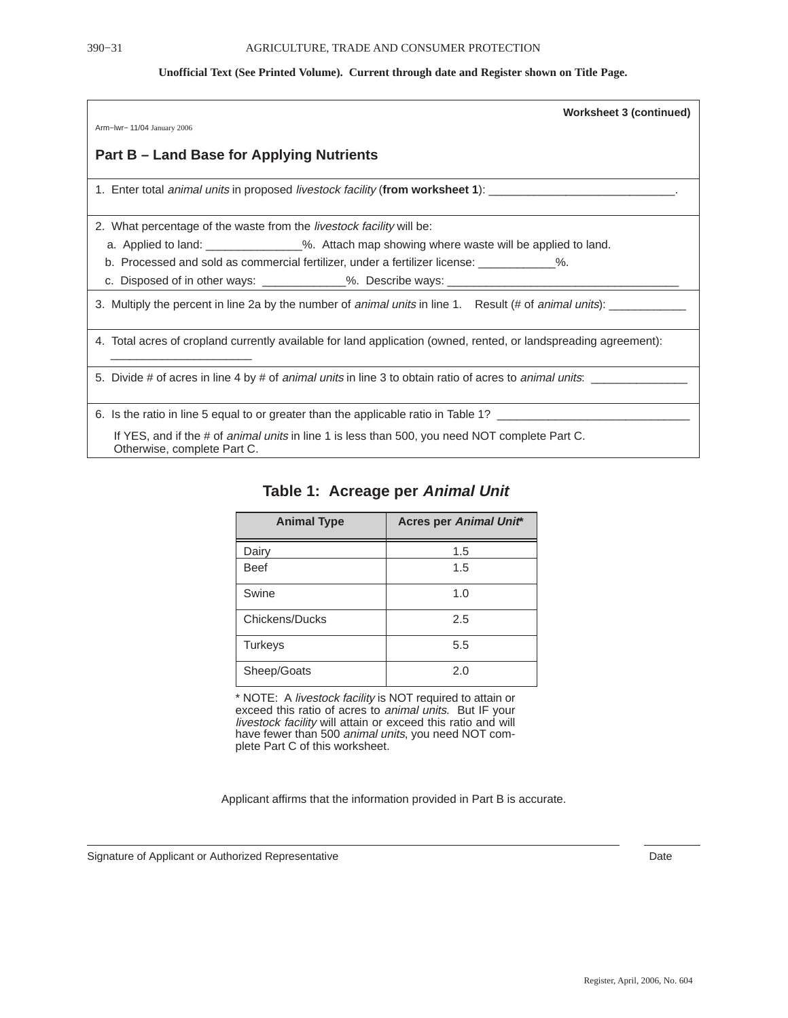| <b>Worksheet 3 (continued)</b>                                                                                                       |
|--------------------------------------------------------------------------------------------------------------------------------------|
| Arm-Iwr- 11/04 January 2006                                                                                                          |
| Part B – Land Base for Applying Nutrients                                                                                            |
|                                                                                                                                      |
| 2. What percentage of the waste from the <i>livestock facility</i> will be:                                                          |
| a. Applied to land: _______________%. Attach map showing where waste will be applied to land.                                        |
| b. Processed and sold as commercial fertilizer, under a fertilizer license: 1996.                                                    |
| c. Disposed of in other ways: _____________%. Describe ways: ___________________                                                     |
| 3. Multiply the percent in line 2a by the number of animal units in line 1. Result (# of animal units): ______                       |
| 4. Total acres of cropland currently available for land application (owned, rented, or landspreading agreement):                     |
|                                                                                                                                      |
| 6. Is the ratio in line 5 equal to or greater than the applicable ratio in Table 1? ______________________                           |
| If YES, and if the # of <i>animal units</i> in line 1 is less than 500, you need NOT complete Part C.<br>Otherwise, complete Part C. |

| <b>Animal Type</b> | <b>Acres per Animal Unit*</b> |
|--------------------|-------------------------------|
| Dairy              | 1.5                           |
| <b>Beef</b>        | 1.5                           |
| Swine              | 1.0                           |
| Chickens/Ducks     | 2.5                           |
| <b>Turkeys</b>     | 5.5                           |
| Sheep/Goats        | 2.0                           |

### **Table 1: Acreage per Animal Unit**

\* NOTE: A livestock facility is NOT required to attain or exceed this ratio of acres to animal units. But IF your livestock facility will attain or exceed this ratio and will have fewer than 500 animal units, you need NOT complete Part C of this worksheet.

Applicant affirms that the information provided in Part B is accurate.

Signature of Applicant or Authorized Representative **Date** Date **Date** Date Date Date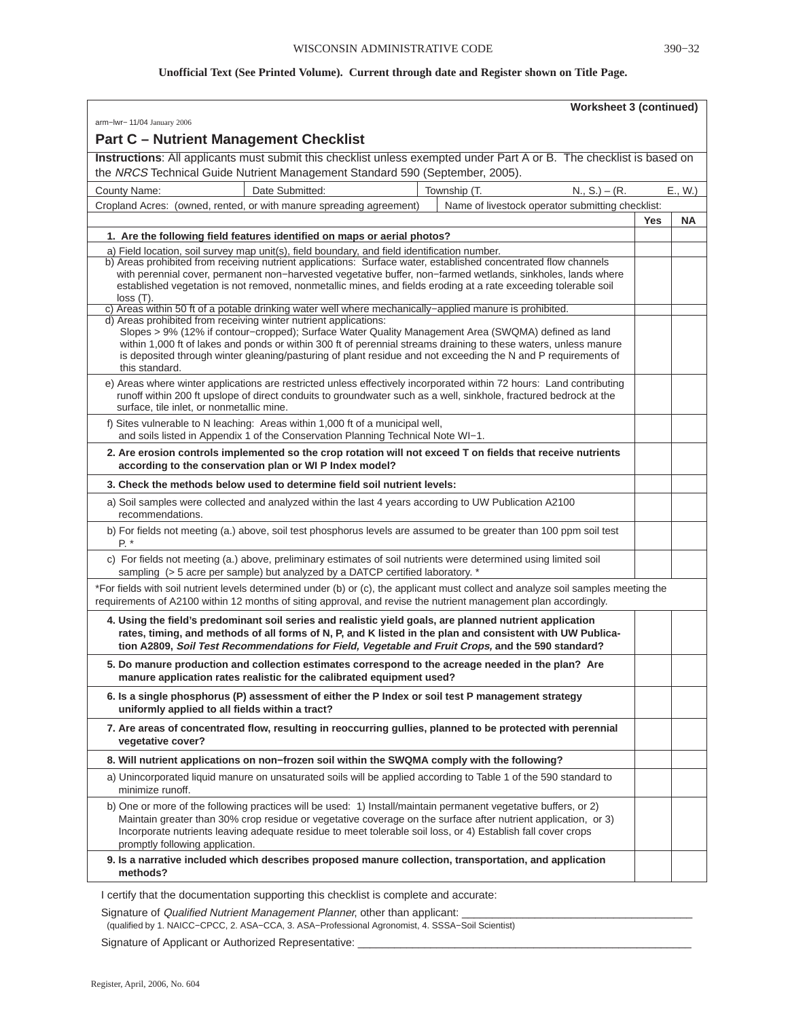| <b>Worksheet 3 (continued)</b>                                                                                                                                                                                                                                                                                                                                                                                                 |            |        |
|--------------------------------------------------------------------------------------------------------------------------------------------------------------------------------------------------------------------------------------------------------------------------------------------------------------------------------------------------------------------------------------------------------------------------------|------------|--------|
| arm-lwr- 11/04 January 2006                                                                                                                                                                                                                                                                                                                                                                                                    |            |        |
| <b>Part C - Nutrient Management Checklist</b>                                                                                                                                                                                                                                                                                                                                                                                  |            |        |
| Instructions: All applicants must submit this checklist unless exempted under Part A or B. The checklist is based on<br>the NRCS Technical Guide Nutrient Management Standard 590 (September, 2005).                                                                                                                                                                                                                           |            |        |
| $N_{1}$ , S.) – (R.<br>Date Submitted:<br>Township (T.<br>County Name:                                                                                                                                                                                                                                                                                                                                                         |            | E., W. |
| Cropland Acres: (owned, rented, or with manure spreading agreement)<br>Name of livestock operator submitting checklist:                                                                                                                                                                                                                                                                                                        |            |        |
|                                                                                                                                                                                                                                                                                                                                                                                                                                | <b>Yes</b> | ΝA     |
| 1. Are the following field features identified on maps or aerial photos?                                                                                                                                                                                                                                                                                                                                                       |            |        |
| a) Field location, soil survey map unit(s), field boundary, and field identification number.                                                                                                                                                                                                                                                                                                                                   |            |        |
| b) Areas prohibited from receiving nutrient applications: Surface water, established concentrated flow channels<br>with perennial cover, permanent non-harvested vegetative buffer, non-farmed wetlands, sinkholes, lands where<br>established vegetation is not removed, nonmetallic mines, and fields eroding at a rate exceeding tolerable soil<br>$loss(T)$ .                                                              |            |        |
| c) Areas within 50 ft of a potable drinking water well where mechanically–applied manure is prohibited.                                                                                                                                                                                                                                                                                                                        |            |        |
| d) Areas prohibited from receiving winter nutrient applications:<br>Slopes > 9% (12% if contour–cropped); Surface Water Quality Management Area (SWQMA) defined as land<br>within 1,000 ft of lakes and ponds or within 300 ft of perennial streams draining to these waters, unless manure<br>is deposited through winter gleaning/pasturing of plant residue and not exceeding the N and P requirements of<br>this standard. |            |        |
| e) Areas where winter applications are restricted unless effectively incorporated within 72 hours: Land contributing<br>runoff within 200 ft upslope of direct conduits to groundwater such as a well, sinkhole, fractured bedrock at the<br>surface, tile inlet, or nonmetallic mine.                                                                                                                                         |            |        |
| f) Sites vulnerable to N leaching: Areas within 1,000 ft of a municipal well,<br>and soils listed in Appendix 1 of the Conservation Planning Technical Note WI-1.                                                                                                                                                                                                                                                              |            |        |
| 2. Are erosion controls implemented so the crop rotation will not exceed T on fields that receive nutrients<br>according to the conservation plan or WI P Index model?                                                                                                                                                                                                                                                         |            |        |
| 3. Check the methods below used to determine field soil nutrient levels:                                                                                                                                                                                                                                                                                                                                                       |            |        |
| a) Soil samples were collected and analyzed within the last 4 years according to UW Publication A2100<br>recommendations.                                                                                                                                                                                                                                                                                                      |            |        |
| b) For fields not meeting (a.) above, soil test phosphorus levels are assumed to be greater than 100 ppm soil test<br>P. *                                                                                                                                                                                                                                                                                                     |            |        |
| c) For fields not meeting (a.) above, preliminary estimates of soil nutrients were determined using limited soil<br>sampling (> 5 acre per sample) but analyzed by a DATCP certified laboratory. *                                                                                                                                                                                                                             |            |        |
| *For fields with soil nutrient levels determined under (b) or (c), the applicant must collect and analyze soil samples meeting the<br>requirements of A2100 within 12 months of siting approval, and revise the nutrient management plan accordingly.                                                                                                                                                                          |            |        |
| 4. Using the field's predominant soil series and realistic yield goals, are planned nutrient application<br>rates, timing, and methods of all forms of N, P, and K listed in the plan and consistent with UW Publica-<br>tion A2809, Soil Test Recommendations for Field, Vegetable and Fruit Crops, and the 590 standard?                                                                                                     |            |        |
| 5. Do manure production and collection estimates correspond to the acreage needed in the plan? Are<br>manure application rates realistic for the calibrated equipment used?                                                                                                                                                                                                                                                    |            |        |
| 6. Is a single phosphorus (P) assessment of either the P Index or soil test P management strategy<br>uniformly applied to all fields within a tract?                                                                                                                                                                                                                                                                           |            |        |
| 7. Are areas of concentrated flow, resulting in reoccurring gullies, planned to be protected with perennial<br>vegetative cover?                                                                                                                                                                                                                                                                                               |            |        |
| 8. Will nutrient applications on non-frozen soil within the SWQMA comply with the following?                                                                                                                                                                                                                                                                                                                                   |            |        |
| a) Unincorporated liquid manure on unsaturated soils will be applied according to Table 1 of the 590 standard to<br>minimize runoff.                                                                                                                                                                                                                                                                                           |            |        |
| b) One or more of the following practices will be used: 1) Install/maintain permanent vegetative buffers, or 2)<br>Maintain greater than 30% crop residue or vegetative coverage on the surface after nutrient application, or 3)<br>Incorporate nutrients leaving adequate residue to meet tolerable soil loss, or 4) Establish fall cover crops<br>promptly following application.                                           |            |        |
| 9. Is a narrative included which describes proposed manure collection, transportation, and application<br>methods?                                                                                                                                                                                                                                                                                                             |            |        |

I certify that the documentation supporting this checklist is complete and accurate:

Signature of Qualified Nutrient Management Planner, other than applicant:

(qualified by 1. NAICC−CPCC, 2. ASA−CCA, 3. ASA−Professional Agronomist, 4. SSSA−Soil Scientist)

Signature of Applicant or Authorized Representative: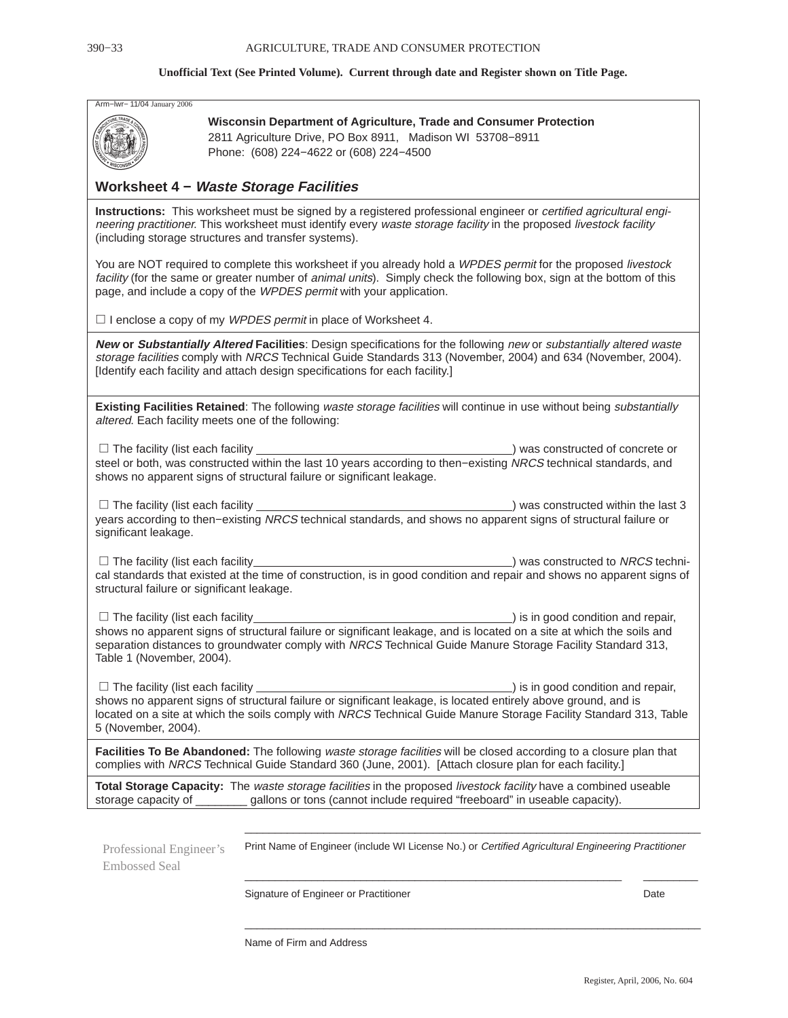| Arm-Iwr- 11/04 January 2006 |  |  |  |  |
|-----------------------------|--|--|--|--|
|-----------------------------|--|--|--|--|



**Wisconsin Department of Agriculture, Trade and Consumer Protection** 2811 Agriculture Drive, PO Box 8911, Madison WI 53708−8911 Phone: (608) 224−4622 or (608) 224−4500

### **Worksheet 4 − Waste Storage Facilities**

**Instructions:** This worksheet must be signed by a registered professional engineer or certified agricultural engineering practitioner. This worksheet must identify every waste storage facility in the proposed livestock facility (including storage structures and transfer systems).

You are NOT required to complete this worksheet if you already hold a WPDES permit for the proposed livestock facility (for the same or greater number of animal units). Simply check the following box, sign at the bottom of this page, and include a copy of the WPDES permit with your application.

 $\Box$  I enclose a copy of my WPDES permit in place of Worksheet 4.

**New or Substantially Altered Facilities**: Design specifications for the following new or substantially altered waste storage facilities comply with NRCS Technical Guide Standards 313 (November, 2004) and 634 (November, 2004). [Identify each facility and attach design specifications for each facility.]

**Existing Facilities Retained**: The following waste storage facilities will continue in use without being substantially altered. Each facility meets one of the following:

□ The facility (list each facility  $\Box$  The facility (list each facility  $\Box$ ) was constructed of concrete or steel or both, was constructed within the last 10 years according to then–existing NRCS technical standards, and shows no apparent signs of structural failure or significant leakage.

 $\Box$  The facility (list each facility  $\lambda$  was constructed within the last 3 years according to then−existing NRCS technical standards, and shows no apparent signs of structural failure or significant leakage.

 $\Box$  The facility (list each facility  $_$ ) was constructed to NRCS technical standards that existed at the time of construction, is in good condition and repair and shows no apparent signs of structural failure or significant leakage.

 $\square$  The facility (list each facility  $\square$  is in good condition and repair, shows no apparent signs of structural failure or significant leakage, and is located on a site at which the soils and separation distances to groundwater comply with NRCS Technical Guide Manure Storage Facility Standard 313, Table 1 (November, 2004).

 $\square$  The facility (list each facility  $\overline{\phantom{a}}$  ) is in good condition and repair, shows no apparent signs of structural failure or significant leakage, is located entirely above ground, and is located on a site at which the soils comply with NRCS Technical Guide Manure Storage Facility Standard 313, Table 5 (November, 2004).

**Facilities To Be Abandoned:** The following waste storage facilities will be closed according to a closure plan that complies with NRCS Technical Guide Standard 360 (June, 2001). [Attach closure plan for each facility.]

**Total Storage Capacity:** The waste storage facilities in the proposed livestock facility have a combined useable storage capacity of \_\_\_\_\_\_\_\_\_ gallons or tons (cannot include required "freeboard" in useable capacity).

Professional Engineer's Embossed Seal

Print Name of Engineer (include WI License No.) or Certified Agricultural Engineering Practitioner

\_\_\_\_\_\_\_\_\_\_\_\_\_\_\_\_\_\_\_\_\_\_\_\_\_\_\_\_\_\_\_\_\_\_\_\_\_\_\_\_\_\_\_\_\_\_\_\_\_\_\_\_\_\_\_\_\_\_\_\_\_\_\_\_\_\_\_\_\_\_\_\_\_\_\_

 $\_$  . The contribution of the contribution of the contribution of  $\mathcal{L}_1$  ,  $\mathcal{L}_2$  ,  $\mathcal{L}_3$  ,  $\mathcal{L}_4$  ,  $\mathcal{L}_5$  ,  $\mathcal{L}_6$  ,  $\mathcal{L}_7$  ,  $\mathcal{L}_8$  ,  $\mathcal{L}_9$  ,  $\mathcal{L}_8$  ,  $\mathcal{L}_9$  ,  $\mathcal{L}_9$  ,  $\mathcal{L}_8$  ,

\_\_\_\_\_\_\_\_\_\_\_\_\_\_\_\_\_\_\_\_\_\_\_\_\_\_\_\_\_\_\_\_\_\_\_\_\_\_\_\_\_\_\_\_\_\_\_\_\_\_\_\_\_\_\_\_\_\_\_\_\_\_\_\_\_\_\_\_\_\_\_\_\_\_\_

Signature of Engineer or Practitioner **Date** Date **Date** Date

Name of Firm and Address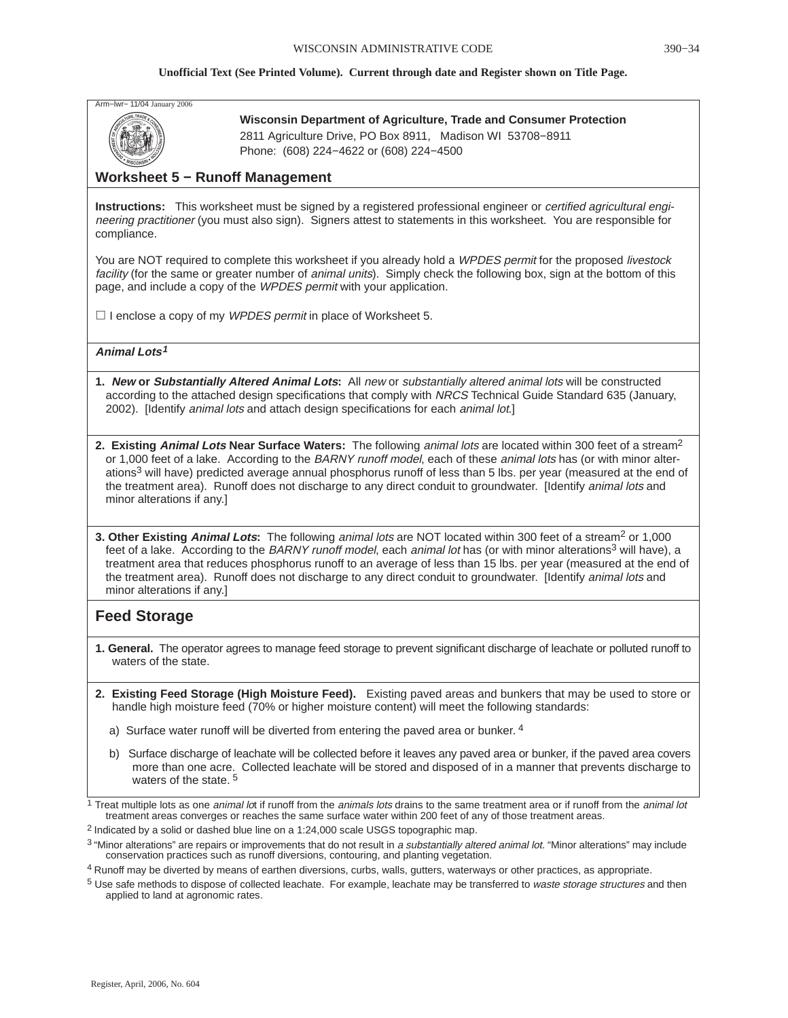

**Wisconsin Department of Agriculture, Trade and Consumer Protection** 2811 Agriculture Drive, PO Box 8911, Madison WI 53708−8911 Phone: (608) 224−4622 or (608) 224−4500

### **Worksheet 5 − Runoff Management**

**Instructions:** This worksheet must be signed by a registered professional engineer or *certified agricultural engi*neering practitioner (you must also sign). Signers attest to statements in this worksheet. You are responsible for compliance.

You are NOT required to complete this worksheet if you already hold a WPDES permit for the proposed livestock facility (for the same or greater number of animal units). Simply check the following box, sign at the bottom of this page, and include a copy of the WPDES permit with your application.

 $\Box$  I enclose a copy of my WPDES permit in place of Worksheet 5.

### **Animal Lots<sup>1</sup>**

**1. New or Substantially Altered Animal Lots:** All new or substantially altered animal lots will be constructed according to the attached design specifications that comply with NRCS Technical Guide Standard 635 (January, 2002). [Identify animal lots and attach design specifications for each animal lot.]

**2. Existing Animal Lots Near Surface Waters:** The following animal lots are located within 300 feet of a stream<sup>2</sup> or 1,000 feet of a lake. According to the BARNY runoff model, each of these animal lots has (or with minor alterations<sup>3</sup> will have) predicted average annual phosphorus runoff of less than 5 lbs. per year (measured at the end of the treatment area). Runoff does not discharge to any direct conduit to groundwater. [Identify animal lots and minor alterations if any.]

**3. Other Existing Animal Lots:** The following animal lots are NOT located within 300 feet of a stream<sup>2</sup> or 1,000 feet of a lake. According to the BARNY runoff model, each animal lot has (or with minor alterations<sup>3</sup> will have), a treatment area that reduces phosphorus runoff to an average of less than 15 lbs. per year (measured at the end of the treatment area). Runoff does not discharge to any direct conduit to groundwater. [Identify animal lots and minor alterations if any.]

### **Feed Storage**

- **1. General.** The operator agrees to manage feed storage to prevent significant discharge of leachate or polluted runoff to waters of the state.
- **2. Existing Feed Storage (High Moisture Feed).** Existing paved areas and bunkers that may be used to store or handle high moisture feed (70% or higher moisture content) will meet the following standards:
	- a) Surface water runoff will be diverted from entering the paved area or bunker. <sup>4</sup>
	- b) Surface discharge of leachate will be collected before it leaves any paved area or bunker, if the paved area covers more than one acre. Collected leachate will be stored and disposed of in a manner that prevents discharge to waters of the state.<sup>5</sup>

<sup>1</sup> Treat multiple lots as one *animal lo*t if runoff from the *animals lots* drains to the same treatment area or if runoff from the *animal lot* treatment areas converges or reaches the same surface water within 200 feet of any of those treatment areas.

2 Indicated by a solid or dashed blue line on a 1:24,000 scale USGS topographic map.

4 Runoff may be diverted by means of earthen diversions, curbs, walls, gutters, waterways or other practices, as appropriate.

<sup>5</sup> Use safe methods to dispose of collected leachate. For example, leachate may be transferred to waste storage structures and then applied to land at agronomic rates.

<sup>&</sup>lt;sup>3</sup> "Minor alterations" are repairs or improvements that do not result in a substantially altered animal lot. "Minor alterations" may include conservation practices such as runoff diversions, contouring, and planting vegetation.